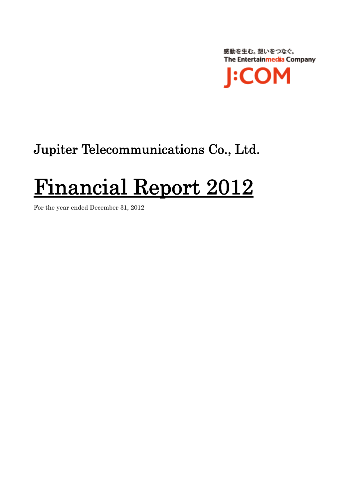感動を生む。想いをつなぐ。 The Entertainmedia Company **:COM** 

## Jupiter Telecommunications Co., Ltd.

# Financial Report 2012 For the year ended December 31, 2012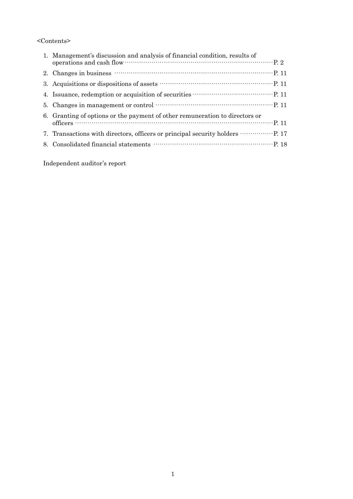#### <Contents>

| 1. Management's discussion and analysis of financial condition, results of<br>operations and cash flow municipality control operations and cash flow municipality of 2                                                                                                                                                          |
|---------------------------------------------------------------------------------------------------------------------------------------------------------------------------------------------------------------------------------------------------------------------------------------------------------------------------------|
| 2. Changes in business $\cdots$ $\cdots$ $\cdots$ $\cdots$ $\cdots$ $\cdots$ $\cdots$ $\cdots$ $\cdots$ $\cdots$ $\cdots$ $\cdots$ $\cdots$ $\cdots$ $\cdots$ $\cdots$ $\cdots$ $\cdots$ $\cdots$ $\cdots$ $\cdots$ $\cdots$ $\cdots$ $\cdots$ $\cdots$ $\cdots$ $\cdots$ $\cdots$ $\cdots$ $\cdots$ $\cdots$ $\cdots$ $\cdots$ |
|                                                                                                                                                                                                                                                                                                                                 |
|                                                                                                                                                                                                                                                                                                                                 |
|                                                                                                                                                                                                                                                                                                                                 |
| 6. Granting of options or the payment of other remuneration to directors or                                                                                                                                                                                                                                                     |
| 7. Transactions with directors, officers or principal security holders …………… P. 17                                                                                                                                                                                                                                              |
|                                                                                                                                                                                                                                                                                                                                 |

Independent auditor's report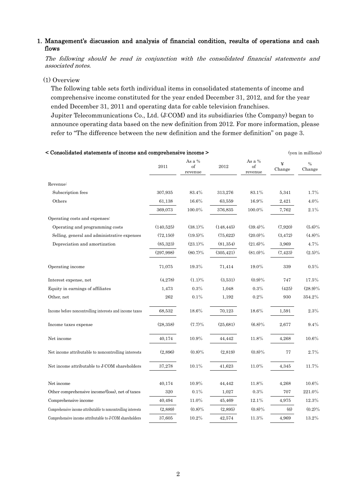#### 1. Management's discussion and analysis of financial condition, results of operations and cash flows

The following should be read in conjunction with the consolidated financial statements and associated notes.

#### (1) Overview

The following table sets forth individual items in consolidated statements of income and comprehensive income constituted for the year ended December 31, 2012, and for the year ended December 31, 2011 and operating data for cable television franchises. Jupiter Telecommunications Co., Ltd. (J:COM) and its subsidiaries (the Company) began to announce operating data based on the new definition from 2012. For more information, please refer to "The difference between the new definition and the former definition" on page 3.

| < Consolidated statements of income and comprehensive income > |            |                         |            | (yen in millions)       |             |                |
|----------------------------------------------------------------|------------|-------------------------|------------|-------------------------|-------------|----------------|
|                                                                | 2011       | As a %<br>of<br>revenue | 2012       | As a %<br>of<br>revenue | ¥<br>Change | $\%$<br>Change |
| Revenue:                                                       |            |                         |            |                         |             |                |
| Subscription fees                                              | 307,935    | 83.4%                   | 313,276    | 83.1%                   | 5,341       | 1.7%           |
| Others                                                         | 61,138     | 16.6%                   | 63,559     | 16.9%                   | 2,421       | 4.0%           |
|                                                                | 369,073    | 100.0%                  | 376,835    | 100.0%                  | 7,762       | 2.1%           |
| Operating costs and expenses:                                  |            |                         |            |                         |             |                |
| Operating and programming costs                                | (140,525)  | $(38.1)\%$              | (148, 445) | $(39.4)\%$              | (7,920)     | $(5.6)\%$      |
| Selling, general and administrative expenses                   | (72, 150)  | $(19.5)\%$              | (75,622)   | $(20.0)\%$              | (3, 472)    | $(4.8)\%$      |
| Depreciation and amortization                                  | (85, 323)  | $(23.1)\%$              | (81, 354)  | $(21.6)\%$              | 3,969       | 4.7%           |
|                                                                | (297, 998) | $(80.7)\%$              | (305, 421) | $(81.0)\%$              | (7, 423)    | $(2.5)\%$      |
| Operating income                                               | 71,075     | 19.3%                   | 71,414     | 19.0%                   | 339         | 0.5%           |
| Interest expense, net                                          | (4,278)    | $(1.1)\%$               | (3,531)    | (0.9)%                  | 747         | 17.5%          |
| Equity in earnings of affiliates                               | 1,473      | 0.3%                    | 1,048      | 0.3%                    | (425)       | $(28.9)\%$     |
| Other, net                                                     | 262        | $0.1\%$                 | 1,192      | $0.2\%$                 | 930         | 354.2%         |
| Income before noncontrolling interests and income taxes        | 68,532     | 18.6%                   | 70,123     | 18.6%                   | 1,591       | 2.3%           |
| Income taxes expense                                           | (28, 358)  | $(7.7)\%$               | (25,681)   | $(6.8)\%$               | 2,677       | 9.4%           |
| Net income                                                     | 40,174     | 10.9%                   | 44,442     | 11.8%                   | 4,268       | 10.6%          |
| Net income attributable to noncontrolling interests            | (2,896)    | $(0.8)\%$               | (2,819)    | $(0.8)\%$               | 77          | 2.7%           |
| Net income attributable to J:COM shareholders                  | 37,278     | 10.1%                   | 41,623     | $11.0\%$                | 4,345       | 11.7%          |
| Net income                                                     | 40,174     | 10.9%                   | 44,442     | 11.8%                   | 4,268       | 10.6%          |
| Other comprehensive income/(loss), net of taxes                | 320        | 0.1%                    | 1,027      | 0.3%                    | 707         | 221.0%         |
| Comprehensive income                                           | 40,494     | $11.0\%$                | 45,469     | 12.1%                   | 4,975       | 12.3%          |
| Comprehensive income attributable to noncontrolling interests  | (2,889)    | $(0.8)\%$               | (2,895)    | $(0.8)\%$               | (6)         | $(0.2)\%$      |
| Comprehensive income attributable to J:COM shareholders        | 37,605     | $10.2\%$                | 42,574     | 11.3%                   | 4,969       | 13.2%          |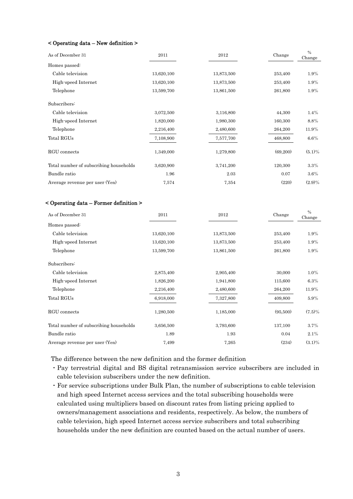#### < Operating data – New definition >

| As of December 31                      | 2011       | 2012       | Change   | $\frac{0}{0}$<br>Change |
|----------------------------------------|------------|------------|----------|-------------------------|
| Homes passed:                          |            |            |          |                         |
| Cable television                       | 13,620,100 | 13,873,500 | 253,400  | $1.9\%$                 |
| High-speed Internet                    | 13,620,100 | 13,873,500 | 253,400  | 1.9%                    |
| Telephone                              | 13,599,700 | 13,861,500 | 261,800  | $1.9\%$                 |
| Subscribers:                           |            |            |          |                         |
| Cable television                       | 3,072,500  | 3,116,800  | 44,300   | $1.4\%$                 |
| High-speed Internet                    | 1,820,000  | 1,980,300  | 160,300  | 8.8%                    |
| Telephone                              | 2,216,400  | 2,480,600  | 264,200  | 11.9%                   |
| Total RGUs                             | 7,108,900  | 7,577,700  | 468,800  | $6.6\%$                 |
| RGU connects                           | 1,349,000  | 1,279,800  | (69,200) | $(5.1)\%$               |
| Total number of subscribing households | 3,620,900  | 3,741,200  | 120,300  | $3.3\%$                 |
| Bundle ratio                           | 1.96       | 2.03       | 0.07     | $3.6\%$                 |
| Average revenue per user (Yen)         | 7,574      | 7,354      | (220)    | $(2.9)\%$               |

#### < Operating data – Former definition >

| As of December 31                      | 2011       | 2012       | Change   | $\frac{0}{0}$<br>Change |
|----------------------------------------|------------|------------|----------|-------------------------|
| Homes passed:                          |            |            |          |                         |
| Cable television                       | 13,620,100 | 13,873,500 | 253,400  | $1.9\%$                 |
| High-speed Internet                    | 13,620,100 | 13,873,500 | 253,400  | $1.9\%$                 |
| Telephone                              | 13,599,700 | 13,861,500 | 261,800  | $1.9\%$                 |
| Subscribers:                           |            |            |          |                         |
| Cable television                       | 2,875,400  | 2,905,400  | 30,000   | $1.0\%$                 |
| High-speed Internet                    | 1,826,200  | 1,941,800  | 115,600  | $6.3\%$                 |
| Telephone                              | 2,216,400  | 2,480,600  | 264,200  | 11.9%                   |
| Total RGUs                             | 6,918,000  | 7,327,800  | 409,800  | $5.9\%$                 |
| RGU connects                           | 1,280,500  | 1,185,000  | (95,500) | $(7.5)\%$               |
| Total number of subscribing households | 3,656,500  | 3,793,600  | 137,100  | $3.7\%$                 |
| Bundle ratio                           | 1.89       | 1.93       | 0.04     | 2.1%                    |
| Average revenue per user (Yen)         | 7,499      | 7,265      | (234)    | $(3.1)\%$               |

The difference between the new definition and the former definition

- ・Pay terrestrial digital and BS digital retransmission service subscribers are included in cable television subscribers under the new definition.
- ・For service subscriptions under Bulk Plan, the number of subscriptions to cable television and high speed Internet access services and the total subscribing households were calculated using multipliers based on discount rates from listing pricing applied to owners/management associations and residents, respectively. As below, the numbers of cable television, high speed Internet access service subscribers and total subscribing households under the new definition are counted based on the actual number of users.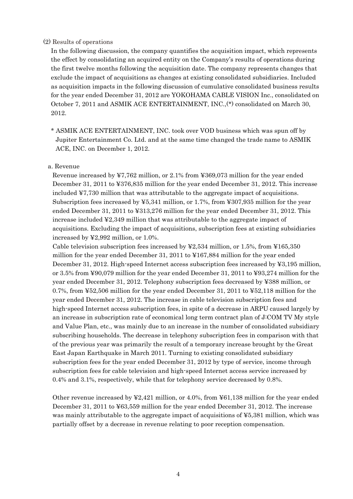#### (2) Results of operations

In the following discussion, the company quantifies the acquisition impact, which represents the effect by consolidating an acquired entity on the Company's results of operations during the first twelve months following the acquisition date. The company represents changes that exclude the impact of acquisitions as changes at existing consolidated subsidiaries. Included as acquisition impacts in the following discussion of cumulative consolidated business results for the year ended December 31, 2012 are YOKOHAMA CABLE VISION Inc., consolidated on October 7, 2011 and ASMIK ACE ENTERTAINMENT, INC.,(\*) consolidated on March 30, 2012.

\* ASMIK ACE ENTERTAINMENT, INC. took over VOD business which was spun off by Jupiter Entertainment Co. Ltd. and at the same time changed the trade name to ASMIK ACE, INC. on December 1, 2012.

#### a. Revenue

Revenue increased by ¥7,762 million, or 2.1% from ¥369,073 million for the year ended December 31, 2011 to ¥376,835 million for the year ended December 31, 2012. This increase included ¥7,730 million that was attributable to the aggregate impact of acquisitions. Subscription fees increased by ¥5,341 million, or 1.7%, from ¥307,935 million for the year ended December 31, 2011 to ¥313,276 million for the year ended December 31, 2012. This increase included ¥2,349 million that was attributable to the aggregate impact of acquisitions. Excluding the impact of acquisitions, subscription fees at existing subsidiaries increased by ¥2,992 million, or 1.0%.

Cable television subscription fees increased by  $\frac{15}{4}$  million, or 1.5%, from  $\frac{15}{5}$ , 550 million for the year ended December 31, 2011 to ¥167,884 million for the year ended December 31, 2012. High-speed Internet access subscription fees increased by ¥3,195 million, or 3.5% from ¥90,079 million for the year ended December 31, 2011 to ¥93,274 million for the year ended December 31, 2012. Telephony subscription fees decreased by ¥388 million, or 0.7%, from ¥52,506 million for the year ended December 31, 2011 to ¥52,118 million for the year ended December 31, 2012. The increase in cable television subscription fees and high-speed Internet access subscription fees, in spite of a decrease in ARPU caused largely by an increase in subscription rate of economical long term contract plan of J:COM TV My style and Value Plan, etc., was mainly due to an increase in the number of consolidated subsidiary subscribing households. The decrease in telephony subscription fees in comparison with that of the previous year was primarily the result of a temporary increase brought by the Great East Japan Earthquake in March 2011. Turning to existing consolidated subsidiary subscription fees for the year ended December 31, 2012 by type of service, income through subscription fees for cable television and high-speed Internet access service increased by 0.4% and 3.1%, respectively, while that for telephony service decreased by 0.8%.

Other revenue increased by ¥2,421 million, or 4.0%, from ¥61,138 million for the year ended December 31, 2011 to ¥63,559 million for the year ended December 31, 2012. The increase was mainly attributable to the aggregate impact of acquisitions of ¥5,381 million, which was partially offset by a decrease in revenue relating to poor reception compensation.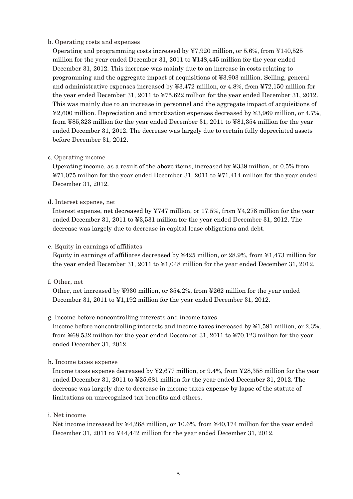#### b. Operating costs and expenses

Operating and programming costs increased by ¥7,920 million, or 5.6%, from ¥140,525 million for the year ended December 31, 2011 to ¥148,445 million for the year ended December 31, 2012. This increase was mainly due to an increase in costs relating to programming and the aggregate impact of acquisitions of ¥3,903 million. Selling, general and administrative expenses increased by ¥3,472 million, or 4.8%, from ¥72,150 million for the year ended December 31, 2011 to ¥75,622 million for the year ended December 31, 2012. This was mainly due to an increase in personnel and the aggregate impact of acquisitions of ¥2,600 million. Depreciation and amortization expenses decreased by ¥3,969 million, or 4.7%, from ¥85,323 million for the year ended December 31, 2011 to ¥81,354 million for the year ended December 31, 2012. The decrease was largely due to certain fully depreciated assets before December 31, 2012.

#### c. Operating income

Operating income, as a result of the above items, increased by ¥339 million, or 0.5% from ¥71,075 million for the year ended December 31, 2011 to ¥71,414 million for the year ended December 31, 2012.

#### d. Interest expense, net

Interest expense, net decreased by ¥747 million, or 17.5%, from ¥4,278 million for the year ended December 31, 2011 to ¥3,531 million for the year ended December 31, 2012. The decrease was largely due to decrease in capital lease obligations and debt.

#### e. Equity in earnings of affiliates

Equity in earnings of affiliates decreased by  $\frac{1}{425}$  million, or 28.9%, from  $\frac{1}{473}$  million for the year ended December 31, 2011 to ¥1,048 million for the year ended December 31, 2012.

#### f. Other, net

Other, net increased by ¥930 million, or 354.2%, from ¥262 million for the year ended December 31, 2011 to ¥1,192 million for the year ended December 31, 2012.

#### g. Income before noncontrolling interests and income taxes

Income before noncontrolling interests and income taxes increased by ¥1,591 million, or 2.3%, from ¥68,532 million for the year ended December 31, 2011 to ¥70,123 million for the year ended December 31, 2012.

#### h. Income taxes expense

Income taxes expense decreased by ¥2,677 million, or 9.4%, from ¥28,358 million for the year ended December 31, 2011 to ¥25,681 million for the year ended December 31, 2012. The decrease was largely due to decrease in income taxes expense by lapse of the statute of limitations on unrecognized tax benefits and others.

#### i. Net income

Net income increased by ¥4,268 million, or 10.6%, from ¥40,174 million for the year ended December 31, 2011 to ¥44,442 million for the year ended December 31, 2012.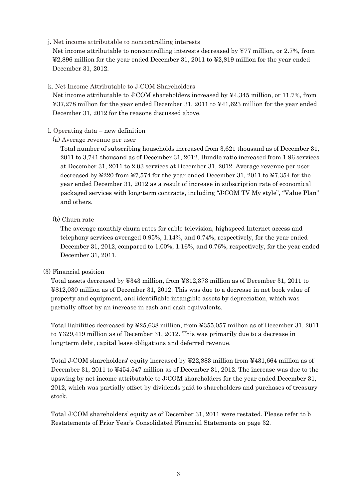#### j. Net income attributable to noncontrolling interests

Net income attributable to noncontrolling interests decreased by ¥77 million, or 2.7%, from ¥2,896 million for the year ended December 31, 2011 to ¥2,819 million for the year ended December 31, 2012.

#### k. Net Income Attributable to J:COM Shareholders

Net income attributable to J:COM shareholders increased by ¥4,345 million, or 11.7%, from ¥37,278 million for the year ended December 31, 2011 to ¥41,623 million for the year ended December 31, 2012 for the reasons discussed above.

#### l. Operating data – new definition

(a) Average revenue per user

Total number of subscribing households increased from 3,621 thousand as of December 31, 2011 to 3,741 thousand as of December 31, 2012. Bundle ratio increased from 1.96 services at December 31, 2011 to 2.03 services at December 31, 2012. Average revenue per user decreased by ¥220 from ¥7,574 for the year ended December 31, 2011 to ¥7,354 for the year ended December 31, 2012 as a result of increase in subscription rate of economical packaged services with long-term contracts, including "J:COM TV My style", "Value Plan" and others.

#### (b) Churn rate

The average monthly churn rates for cable television, highspeed Internet access and telephony services averaged 0.95%, 1.14%, and 0.74%, respectively, for the year ended December 31, 2012, compared to 1.00%, 1.16%, and 0.76%, respectively, for the year ended December 31, 2011.

#### (3) Financial position

Total assets decreased by ¥343 million, from ¥812,373 million as of December 31, 2011 to ¥812,030 million as of December 31, 2012. This was due to a decrease in net book value of property and equipment, and identifiable intangible assets by depreciation, which was partially offset by an increase in cash and cash equivalents.

Total liabilities decreased by ¥25,638 million, from ¥355,057 million as of December 31, 2011 to ¥329,419 million as of December 31, 2012. This was primarily due to a decrease in long-term debt, capital lease obligations and deferred revenue.

Total J:COM shareholders' equity increased by ¥22,883 million from ¥431,664 million as of December 31, 2011 to ¥454,547 million as of December 31, 2012. The increase was due to the upswing by net income attributable to J:COM shareholders for the year ended December 31, 2012, which was partially offset by dividends paid to shareholders and purchases of treasury stock.

Total J:COM shareholders' equity as of December 31, 2011 were restated. Please refer to b Restatements of Prior Year's Consolidated Financial Statements on page 32.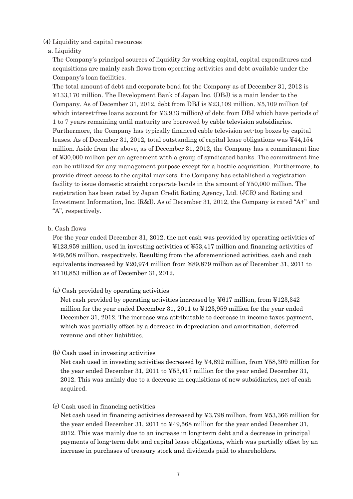#### (4) Liquidity and capital resources

#### a. Liquidity

The Company's principal sources of liquidity for working capital, capital expenditures and acquisitions are mainly cash flows from operating activities and debt available under the Company's loan facilities.

The total amount of debt and corporate bond for the Company as of December 31, 2012 is ¥133,170 million. The Development Bank of Japan Inc. (DBJ) is a main lender to the Company. As of December 31, 2012, debt from DBJ is ¥23,109 million. ¥5,109 million (of which interest-free loans account for ¥3,933 million) of debt from DBJ which have periods of 1 to 7 years remaining until maturity are borrowed by cable television subsidiaries. Furthermore, the Company has typically financed cable television set-top boxes by capital leases. As of December 31, 2012, total outstanding of capital lease obligations was ¥44,154 million. Aside from the above, as of December 31, 2012, the Company has a commitment line of ¥30,000 million per an agreement with a group of syndicated banks. The commitment line can be utilized for any management purpose except for a hostile acquisition. Furthermore, to provide direct access to the capital markets, the Company has established a registration facility to issue domestic straight corporate bonds in the amount of ¥50,000 million. The registration has been rated by Japan Credit Rating Agency, Ltd. (JCR) and Rating and Investment Information, Inc. (R&I). As of December 31, 2012, the Company is rated "A+" and "A", respectively.

#### b. Cash flows

For the year ended December 31, 2012, the net cash was provided by operating activities of ¥123,959 million, used in investing activities of ¥53,417 million and financing activities of ¥49,568 million, respectively. Resulting from the aforementioned activities, cash and cash equivalents increased by ¥20,974 million from ¥89,879 million as of December 31, 2011 to ¥110,853 million as of December 31, 2012.

#### (a) Cash provided by operating activities

Net cash provided by operating activities increased by ¥617 million, from ¥123,342 million for the year ended December 31, 2011 to ¥123,959 million for the year ended December 31, 2012. The increase was attributable to decrease in income taxes payment, which was partially offset by a decrease in depreciation and amortization, deferred revenue and other liabilities.

#### (b) Cash used in investing activities

Net cash used in investing activities decreased by ¥4,892 million, from ¥58,309 million for the year ended December 31, 2011 to ¥53,417 million for the year ended December 31, 2012. This was mainly due to a decrease in acquisitions of new subsidiaries, net of cash acquired.

#### (c) Cash used in financing activities

Net cash used in financing activities decreased by ¥3,798 million, from ¥53,366 million for the year ended December 31, 2011 to ¥49,568 million for the year ended December 31, 2012. This was mainly due to an increase in long-term debt and a decrease in principal payments of long-term debt and capital lease obligations, which was partially offset by an increase in purchases of treasury stock and dividends paid to shareholders.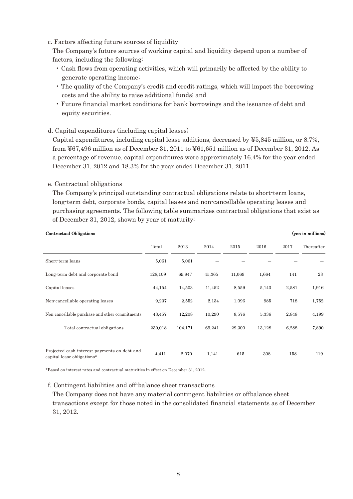#### c. Factors affecting future sources of liquidity

The Company's future sources of working capital and liquidity depend upon a number of factors, including the following:

- Cash flows from operating activities, which will primarily be affected by the ability to generate operating income;
- The quality of the Company's credit and credit ratings, which will impact the borrowing costs and the ability to raise additional funds; and
- Future financial market conditions for bank borrowings and the issuance of debt and equity securities.

#### d. Capital expenditures (including capital leases)

Capital expenditures, including capital lease additions, decreased by ¥5,845 million, or 8.7%, from ¥67,496 million as of December 31, 2011 to ¥61,651 million as of December 31, 2012. As a percentage of revenue, capital expenditures were approximately 16.4% for the year ended December 31, 2012 and 18.3% for the year ended December 31, 2011.

#### e. Contractual obligations

The Company's principal outstanding contractual obligations relate to short-term loans, long-term debt, corporate bonds, capital leases and non-cancellable operating leases and purchasing agreements. The following table summarizes contractual obligations that exist as of December 31, 2012, shown by year of maturity:

#### Contractual Obligations (yen in millions)

|                                                                            | Total   | 2013    | 2014   | 2015   | 2016   | 2017  | Thereafter |
|----------------------------------------------------------------------------|---------|---------|--------|--------|--------|-------|------------|
| Short-term loans                                                           | 5,061   | 5,061   |        |        |        |       |            |
| Long-term debt and corporate bond                                          | 128,109 | 69,847  | 45,365 | 11,069 | 1,664  | 141   | 23         |
| Capital leases                                                             | 44,154  | 14,503  | 11,452 | 8,559  | 5,143  | 2,581 | 1,916      |
| Non-cancellable operating leases                                           | 9,237   | 2,552   | 2,134  | 1,096  | 985    | 718   | 1,752      |
| Non-cancellable purchase and other commitments                             | 43,457  | 12,208  | 10,290 | 8,576  | 5,336  | 2,848 | 4,199      |
| Total contractual obligations                                              | 230,018 | 104,171 | 69,241 | 29,300 | 13,128 | 6,288 | 7,890      |
|                                                                            |         |         |        |        |        |       |            |
| Projected cash interest payments on debt and<br>capital lease obligations* | 4,411   | 2,070   | 1,141  | 615    | 308    | 158   | 119        |

\*Based on interest rates and contractual maturities in effect on December 31, 2012.

#### f. Contingent liabilities and off-balance sheet transactions

The Company does not have any material contingent liabilities or offbalance sheet transactions except for those noted in the consolidated financial statements as of December 31, 2012.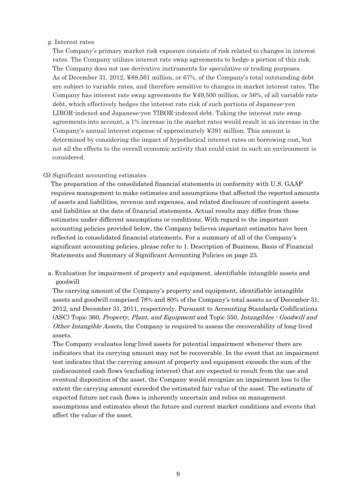#### g. Interest rates

The Company's primary market risk exposure consists of risk related to changes in interest rates. The Company utilizes interest rate swap agreements to hedge a portion of this risk. The Company does not use derivative instruments for speculative or trading purposes. As of December 31, 2012, ¥88,561 million, or 67%, of the Company's total outstanding debt are subject to variable rates, and therefore sensitive to changes in market interest rates. The Company has interest rate swap agreements for ¥49,500 million, or 56%, of all variable rate debt, which effectively hedges the interest rate risk of such portions of Japanese-yen LIBOR-indexed and Japanese-yen TIBOR-indexed debt. Taking the interest rate swap agreements into account, a 1% increase in the market rates would result in an increase in the Company's annual interest expense of approximately ¥391 million. This amount is determined by considering the impact of hypothetical interest rates on borrowing cost, but not all the effects to the overall economic activity that could exist in such an environment is considered.

#### (5) Significant accounting estimates

The preparation of the consolidated financial statements in conformity with U.S. GAAP requires management to make estimates and assumptions that affected the reported amounts of assets and liabilities, revenue and expenses, and related disclosure of contingent assets and liabilities at the date of financial statements. Actual results may differ from those estimates under different assumptions or conditions. With regard to the important accounting policies provided below, the Company believes important estimates have been reflected in consolidated financial statements. For a summary of all of the Company's significant accounting policies, please refer to 1. Description of Business, Basis of Financial Statements and Summary of Significant Accounting Policies on page 23.

a. Evaluation for impairment of property and equipment, identifiable intangible assets and goodwill

The carrying amount of the Company's property and equipment, identifiable intangible assets and goodwill comprised 78% and 80% of the Company's total assets as of December 31, 2012, and December 31, 2011, respectively. Pursuant to Accounting Standards Codifications (ASC) Topic 360, Property, Plant, and Equipment and Topic 350, Intangibles - Goodwill and Other Intangible Assets, the Company is required to assess the recoverability of long-lived assets.

The Company evaluates long-lived assets for potential impairment whenever there are indicators that its carrying amount may not be recoverable. In the event that an impairment test indicates that the carrying amount of property and equipment exceeds the sum of the undiscounted cash flows (excluding interest) that are expected to result from the use and eventual disposition of the asset, the Company would recognize an impairment loss to the extent the carrying amount exceeded the estimated fair value of the asset. The estimate of expected future net cash flows is inherently uncertain and relies on management assumptions and estimates about the future and current market conditions and events that affect the value of the asset.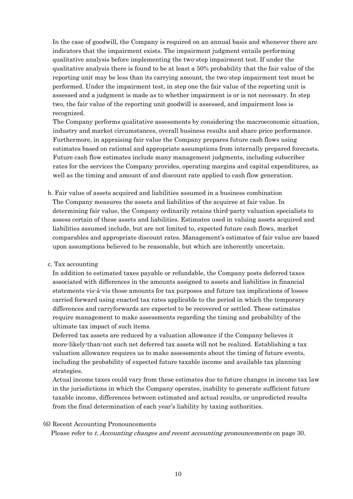In the case of goodwill, the Company is required on an annual basis and whenever there are indicators that the impairment exists. The impairment judgment entails performing qualitative analysis before implementing the two-step impairment test. If under the qualitative analysis there is found to be at least a 50% probability that the fair value of the reporting unit may be less than its carrying amount, the two-step impairment test must be performed. Under the impairment test, in step one the fair value of the reporting unit is assessed and a judgment is made as to whether impairment is or is not necessary. In step two, the fair value of the reporting unit goodwill is assessed, and impairment loss is recognized.

The Company performs qualitative assessments by considering the macroeconomic situation, industry and market circumstances, overall business results and share price performance. Furthermore, in appraising fair value the Company prepares future cash flows using estimates based on rational and appropriate assumptions from internally prepared forecasts. Future cash flow estimates include many management judgments, including subscriber rates for the services the Company provides, operating margins and capital expenditures, as well as the timing and amount of and discount rate applied to cash flow generation.

b. Fair value of assets acquired and liabilities assumed in a business combination The Company measures the assets and liabilities of the acquiree at fair value. In determining fair value, the Company ordinarily retains third-party valuation specialists to assess certain of these assets and liabilities. Estimates used in valuing assets acquired and liabilities assumed include, but are not limited to, expected future cash flows, market comparables and appropriate discount rates. Management's estimates of fair value are based upon assumptions believed to be reasonable, but which are inherently uncertain.

#### c. Tax accounting

In addition to estimated taxes payable or refundable, the Company posts deferred taxes associated with differences in the amounts assigned to assets and liabilities in financial statements vis-à-vis those amounts for tax purposes and future tax implications of losses carried forward using enacted tax rates applicable to the period in which the temporary differences and carryforwards are expected to be recovered or settled. These estimates require management to make assessments regarding the timing and probability of the ultimate tax impact of such items.

Deferred tax assets are reduced by a valuation allowance if the Company believes it more-likely-than-not such net deferred tax assets will not be realized. Establishing a tax valuation allowance requires us to make assessments about the timing of future events, including the probability of expected future taxable income and available tax planning strategies.

Actual income taxes could vary from these estimates due to future changes in income tax law in the jurisdictions in which the Company operates, inability to generate sufficient future taxable income, differences between estimated and actual results, or unpredicted results from the final determination of each year's liability by taxing authorities.

#### (6) Recent Accounting Pronouncements

Please refer to t. Accounting changes and recent accounting pronouncements on page 30.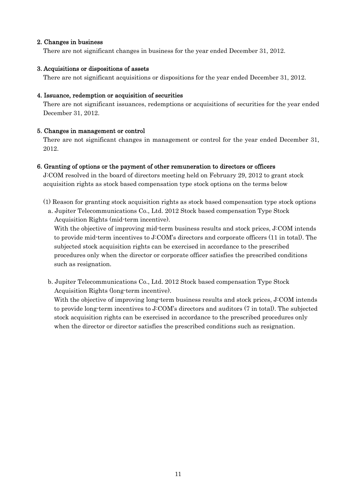#### 2. Changes in business

There are not significant changes in business for the year ended December 31, 2012.

#### 3. Acquisitions or dispositions of assets

There are not significant acquisitions or dispositions for the year ended December 31, 2012.

#### 4. Issuance, redemption or acquisition of securities

There are not significant issuances, redemptions or acquisitions of securities for the year ended December 31, 2012.

#### 5. Changes in management or control

There are not significant changes in management or control for the year ended December 31, 2012.

#### 6. Granting of options or the payment of other remuneration to directors or officers

J:COM resolved in the board of directors meeting held on February 29, 2012 to grant stock acquisition rights as stock based compensation type stock options on the terms below

- (1) Reason for granting stock acquisition rights as stock based compensation type stock options
	- a. Jupiter Telecommunications Co., Ltd. 2012 Stock based compensation Type Stock Acquisition Rights (mid-term incentive).

With the objective of improving mid-term business results and stock prices, J:COM intends to provide mid-term incentives to J:COM's directors and corporate officers (11 in total). The subjected stock acquisition rights can be exercised in accordance to the prescribed procedures only when the director or corporate officer satisfies the prescribed conditions such as resignation.

b. Jupiter Telecommunications Co., Ltd. 2012 Stock based compensation Type Stock Acquisition Rights (long-term incentive).

With the objective of improving long-term business results and stock prices, J:COM intends to provide long-term incentives to J:COM's directors and auditors (7 in total). The subjected stock acquisition rights can be exercised in accordance to the prescribed procedures only when the director or director satisfies the prescribed conditions such as resignation.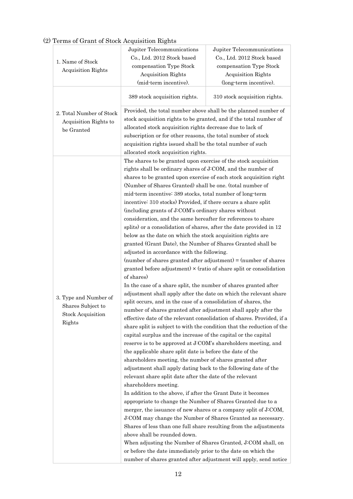### (2) Terms of Grant of Stock Acquisition Rights

|                           | Jupiter Telecommunications                                                                                                  | Jupiter Telecommunications    |  |  |
|---------------------------|-----------------------------------------------------------------------------------------------------------------------------|-------------------------------|--|--|
|                           | Co., Ltd. 2012 Stock based                                                                                                  | Co., Ltd. 2012 Stock based    |  |  |
| 1. Name of Stock          | compensation Type Stock                                                                                                     | compensation Type Stock       |  |  |
| <b>Acquisition Rights</b> | <b>Acquisition Rights</b>                                                                                                   | Acquisition Rights            |  |  |
|                           | (mid-term incentive).                                                                                                       | (long-term incentive).        |  |  |
|                           | 389 stock acquisition rights.                                                                                               | 310 stock acquisition rights. |  |  |
| 2. Total Number of Stock  | Provided, the total number above shall be the planned number of                                                             |                               |  |  |
| Acquisition Rights to     | stock acquisition rights to be granted, and if the total number of                                                          |                               |  |  |
| be Granted                | allocated stock acquisition rights decrease due to lack of                                                                  |                               |  |  |
|                           | subscription or for other reasons, the total number of stock                                                                |                               |  |  |
|                           | acquisition rights issued shall be the total number of such                                                                 |                               |  |  |
|                           | allocated stock acquisition rights.                                                                                         |                               |  |  |
|                           | The shares to be granted upon exercise of the stock acquisition                                                             |                               |  |  |
|                           | rights shall be ordinary shares of J:COM, and the number of                                                                 |                               |  |  |
|                           | shares to be granted upon exercise of each stock acquisition right                                                          |                               |  |  |
|                           | (Number of Shares Granted) shall be one. (total number of                                                                   |                               |  |  |
|                           | mid-term incentive: 389 stocks, total number of long-term                                                                   |                               |  |  |
|                           | incentive: 310 stocks) Provided, if there occurs a share split                                                              |                               |  |  |
|                           | (including grants of J:COM's ordinary shares without                                                                        |                               |  |  |
|                           | consideration, and the same hereafter for references to share                                                               |                               |  |  |
|                           | splits) or a consolidation of shares, after the date provided in 12                                                         |                               |  |  |
|                           | below as the date on which the stock acquisition rights are                                                                 |                               |  |  |
|                           | granted (Grant Date), the Number of Shares Granted shall be                                                                 |                               |  |  |
|                           | adjusted in accordance with the following.                                                                                  |                               |  |  |
|                           | (number of shares granted after adjustment) = $(number$ of shares                                                           |                               |  |  |
|                           | granted before adjustment) $\times$ (ratio of share split or consolidation                                                  |                               |  |  |
|                           | of shares)                                                                                                                  |                               |  |  |
|                           | In the case of a share split, the number of shares granted after                                                            |                               |  |  |
|                           | adjustment shall apply after the date on which the relevant share                                                           |                               |  |  |
| 3. Type and Number of     | split occurs, and in the case of a consolidation of shares, the                                                             |                               |  |  |
| Shares Subject to         | number of shares granted after adjustment shall apply after the                                                             |                               |  |  |
| <b>Stock Acquisition</b>  | effective date of the relevant consolidation of shares. Provided, if a                                                      |                               |  |  |
| Rights                    | share split is subject to with the condition that the reduction of the                                                      |                               |  |  |
|                           | capital surplus and the increase of the capital or the capital                                                              |                               |  |  |
|                           | reserve is to be approved at J:COM's shareholders meeting, and                                                              |                               |  |  |
|                           | the applicable share split date is before the date of the                                                                   |                               |  |  |
|                           | shareholders meeting, the number of shares granted after                                                                    |                               |  |  |
|                           | adjustment shall apply dating back to the following date of the                                                             |                               |  |  |
|                           | relevant share split date after the date of the relevant                                                                    |                               |  |  |
|                           | shareholders meeting.                                                                                                       |                               |  |  |
|                           |                                                                                                                             |                               |  |  |
|                           | In addition to the above, if after the Grant Date it becomes<br>appropriate to change the Number of Shares Granted due to a |                               |  |  |
|                           | merger, the issuance of new shares or a company split of J:COM,                                                             |                               |  |  |
|                           | J:COM may change the Number of Shares Granted as necessary.                                                                 |                               |  |  |
|                           | Shares of less than one full share resulting from the adjustments                                                           |                               |  |  |
|                           | above shall be rounded down.                                                                                                |                               |  |  |
|                           | When adjusting the Number of Shares Granted, J:COM shall, on                                                                |                               |  |  |
|                           | or before the date immediately prior to the date on which the                                                               |                               |  |  |
|                           | number of shares granted after adjustment will apply, send notice                                                           |                               |  |  |
|                           |                                                                                                                             |                               |  |  |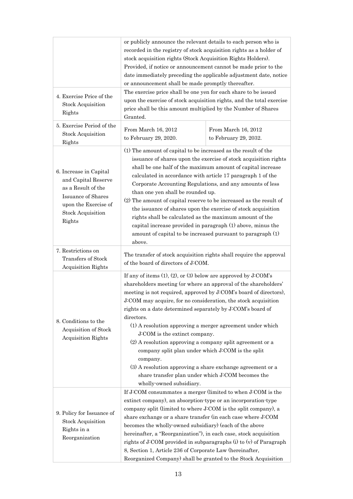|                                                                                                                                                                | or publicly announce the relevant details to each person who is<br>recorded in the registry of stock acquisition rights as a holder of<br>stock acquisition rights (Stock Acquisition Rights Holders).<br>Provided, if notice or announcement cannot be made prior to the<br>date immediately preceding the applicable adjustment date, notice<br>or announcement shall be made promptly thereafter.                                                                                                                                                                                                                                                                                                                                    |                                              |  |
|----------------------------------------------------------------------------------------------------------------------------------------------------------------|-----------------------------------------------------------------------------------------------------------------------------------------------------------------------------------------------------------------------------------------------------------------------------------------------------------------------------------------------------------------------------------------------------------------------------------------------------------------------------------------------------------------------------------------------------------------------------------------------------------------------------------------------------------------------------------------------------------------------------------------|----------------------------------------------|--|
| 4. Exercise Price of the<br><b>Stock Acquisition</b><br>Rights                                                                                                 | The exercise price shall be one yen for each share to be issued<br>upon the exercise of stock acquisition rights, and the total exercise<br>price shall be this amount multiplied by the Number of Shares<br>Granted.                                                                                                                                                                                                                                                                                                                                                                                                                                                                                                                   |                                              |  |
| 5. Exercise Period of the<br><b>Stock Acquisition</b><br>Rights                                                                                                | From March 16, 2012<br>to February 29, 2020.                                                                                                                                                                                                                                                                                                                                                                                                                                                                                                                                                                                                                                                                                            | From March 16, 2012<br>to February 29, 2032. |  |
| 6. Increase in Capital<br>and Capital Reserve<br>as a Result of the<br><b>Issuance of Shares</b><br>upon the Exercise of<br><b>Stock Acquisition</b><br>Rights | (1) The amount of capital to be increased as the result of the<br>issuance of shares upon the exercise of stock acquisition rights<br>shall be one half of the maximum amount of capital increase<br>calculated in accordance with article 17 paragraph 1 of the<br>Corporate Accounting Regulations, and any amounts of less<br>than one yen shall be rounded up.<br>(2) The amount of capital reserve to be increased as the result of<br>the issuance of shares upon the exercise of stock acquisition<br>rights shall be calculated as the maximum amount of the<br>capital increase provided in paragraph (1) above, minus the<br>amount of capital to be increased pursuant to paragraph (1)<br>above.                            |                                              |  |
| 7. Restrictions on<br>Transfers of Stock<br><b>Acquisition Rights</b>                                                                                          | The transfer of stock acquisition rights shall require the approval<br>of the board of directors of J:COM.                                                                                                                                                                                                                                                                                                                                                                                                                                                                                                                                                                                                                              |                                              |  |
| 8. Conditions to the<br>Acquisition of Stock<br><b>Acquisition Rights</b>                                                                                      | If any of items $(1)$ , $(2)$ , or $(3)$ below are approved by J:COM's<br>shareholders meeting (or where an approval of the shareholders'<br>meeting is not required, approved by J:COM's board of directors),<br>J:COM may acquire, for no consideration, the stock acquisition<br>rights on a date determined separately by J:COM's board of<br>directors.<br>(1) A resolution approving a merger agreement under which<br>J:COM is the extinct company.<br>(2) A resolution approving a company split agreement or a<br>company split plan under which J:COM is the split<br>company.<br>(3) A resolution approving a share exchange agreement or a<br>share transfer plan under which J:COM becomes the<br>wholly-owned subsidiary. |                                              |  |
| 9. Policy for Issuance of<br><b>Stock Acquisition</b><br>Rights in a<br>Reorganization                                                                         | If J:COM consummates a merger (limited to when J:COM is the<br>extinct company), an absorption type or an incorporation type<br>company split (limited to where J:COM is the split company), a<br>share exchange or a share transfer (in each case where J:COM<br>becomes the wholly-owned subsidiary) (each of the above<br>hereinafter, a "Reorganization"), in each case, stock acquisition<br>rights of J:COM provided in subparagraphs $(i)$ to $(v)$ of Paragraph<br>8, Section 1, Article 236 of Corporate Law (hereinafter,<br>Reorganized Company) shall be granted to the Stock Acquisition                                                                                                                                   |                                              |  |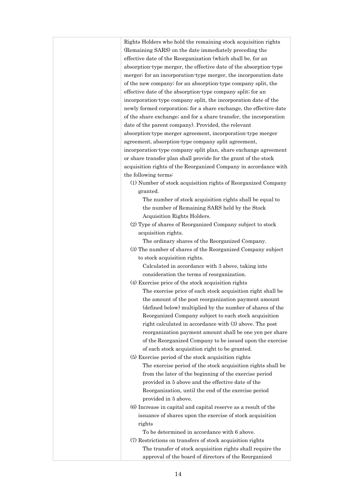| Rights Holders who hold the remaining stock acquisition rights     |
|--------------------------------------------------------------------|
| (Remaining SARS) on the date immediately preceding the             |
| effective date of the Reorganization (which shall be, for an       |
| absorption-type merger, the effective date of the absorption-type  |
| merger; for an incorporation type merger, the incorporation date   |
| of the new company; for an absorption-type company split, the      |
| effective date of the absorption-type company split; for an        |
| incorporation type company split, the incorporation date of the    |
| newly formed corporation; for a share exchange, the effective date |
| of the share exchange; and for a share transfer, the incorporation |
| date of the parent company). Provided, the relevant                |
| absorption-type merger agreement, incorporation-type merger        |
| agreement, absorption type company split agreement,                |
| incorporation type company split plan, share exchange agreement    |
| or share transfer plan shall provide for the grant of the stock    |
| acquisition rights of the Reorganized Company in accordance with   |
| the following terms:                                               |
| (1) Number of stock acquisition rights of Reorganized Company      |
| granted.                                                           |
| The number of stock acquisition rights shall be equal to           |
| the number of Remaining SARS held by the Stock                     |
| Acquisition Rights Holders.                                        |
| (2) Type of shares of Reorganized Company subject to stock         |
| acquisition rights.                                                |
| The ordinary shares of the Reorganized Company.                    |
| (3) The number of shares of the Reorganized Company subject        |
| to stock acquisition rights.                                       |
| Calculated in accordance with 3 above, taking into                 |
| consideration the terms of reorganization.                         |
| (4) Exercise price of the stock acquisition rights                 |
| The exercise price of each stock acquisition right shall be        |
| the amount of the post reorganization payment amount               |
| (defined below) multiplied by the number of shares of the          |
| Reorganized Company subject to each stock acquisition              |
| right calculated in accordance with (3) above. The post            |
| reorganization payment amount shall be one yen per share           |
| of the Reorganized Company to be issued upon the exercise          |
| of each stock acquisition right to be granted.                     |
| (5) Exercise period of the stock acquisition rights                |
| The exercise period of the stock acquisition rights shall be       |
| from the later of the beginning of the exercise period             |
| provided in 5 above and the effective date of the                  |
| Reorganization, until the end of the exercise period               |
| provided in 5 above.                                               |
| (6) Increase in capital and capital reserve as a result of the     |
| issuance of shares upon the exercise of stock acquisition          |
| rights                                                             |
| To be determined in accordance with 6 above.                       |
| (7) Restrictions on transfers of stock acquisition rights          |
| The transfer of stock acquisition rights shall require the         |
| approval of the board of directors of the Reorganized              |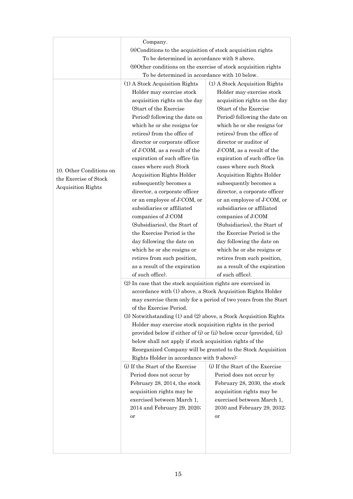|                         | Company.                                                                                                                       |                                                                     |  |  |  |
|-------------------------|--------------------------------------------------------------------------------------------------------------------------------|---------------------------------------------------------------------|--|--|--|
|                         | (8) Conditions to the acquisition of stock acquisition rights                                                                  |                                                                     |  |  |  |
|                         | To be determined in accordance with 8 above.                                                                                   |                                                                     |  |  |  |
|                         | (9) Other conditions on the exercise of stock acquisition rights                                                               |                                                                     |  |  |  |
|                         | To be determined in accordance with 10 below.                                                                                  |                                                                     |  |  |  |
|                         | (1) A Stock Acquisition Rights                                                                                                 | (1) A Stock Acquisition Rights                                      |  |  |  |
|                         | Holder may exercise stock                                                                                                      | Holder may exercise stock                                           |  |  |  |
|                         | acquisition rights on the day                                                                                                  | acquisition rights on the day                                       |  |  |  |
|                         | (Start of the Exercise)                                                                                                        | (Start of the Exercise)                                             |  |  |  |
|                         | Period) following the date on                                                                                                  | Period) following the date on                                       |  |  |  |
|                         | which he or she resigns (or                                                                                                    | which he or she resigns (or                                         |  |  |  |
|                         | retires) from the office of                                                                                                    | retires) from the office of                                         |  |  |  |
|                         | director or corporate officer                                                                                                  | director or auditor of                                              |  |  |  |
|                         | of J:COM, as a result of the                                                                                                   | J:COM, as a result of the                                           |  |  |  |
|                         | expiration of such office (in                                                                                                  | expiration of such office (in                                       |  |  |  |
|                         | cases where such Stock                                                                                                         | cases where such Stock                                              |  |  |  |
| 10. Other Conditions on | Acquisition Rights Holder                                                                                                      | Acquisition Rights Holder                                           |  |  |  |
| the Exercise of Stock   | subsequently becomes a                                                                                                         | subsequently becomes a                                              |  |  |  |
| Acquisition Rights      | director, a corporate officer                                                                                                  | director, a corporate officer                                       |  |  |  |
|                         | or an employee of J:COM, or                                                                                                    | or an employee of J:COM, or                                         |  |  |  |
|                         | subsidiaries or affiliated                                                                                                     | subsidiaries or affiliated                                          |  |  |  |
|                         |                                                                                                                                | companies of J:COM                                                  |  |  |  |
|                         | companies of J:COM<br>(Subsidiaries), the Start of                                                                             | (Subsidiaries), the Start of                                        |  |  |  |
|                         | the Exercise Period is the                                                                                                     | the Exercise Period is the                                          |  |  |  |
|                         |                                                                                                                                |                                                                     |  |  |  |
|                         | day following the date on                                                                                                      | day following the date on                                           |  |  |  |
|                         | which he or she resigns or                                                                                                     | which he or she resigns or                                          |  |  |  |
|                         | retires from such position,                                                                                                    | retires from such position,                                         |  |  |  |
|                         | as a result of the expiration                                                                                                  | as a result of the expiration                                       |  |  |  |
|                         | of such office).                                                                                                               | of such office).                                                    |  |  |  |
|                         | (2) In case that the stock acquisition rights are exercised in<br>accordance with (1) above, a Stock Acquisition Rights Holder |                                                                     |  |  |  |
|                         |                                                                                                                                |                                                                     |  |  |  |
|                         |                                                                                                                                | may exercise them only for a period of two years from the Start     |  |  |  |
|                         | of the Exercise Period.                                                                                                        |                                                                     |  |  |  |
|                         | (3) Notwithstanding (1) and (2) above, a Stock Acquisition Rights                                                              |                                                                     |  |  |  |
|                         | Holder may exercise stock acquisition rights in the period                                                                     |                                                                     |  |  |  |
|                         |                                                                                                                                | provided below if either of (i) or (ii) below occur (provided, (ii) |  |  |  |
|                         | below shall not apply if stock acquisition rights of the                                                                       |                                                                     |  |  |  |
|                         |                                                                                                                                | Reorganized Company will be granted to the Stock Acquisition        |  |  |  |
|                         | Rights Holder in accordance with 9 above):                                                                                     |                                                                     |  |  |  |
|                         | (i) If the Start of the Exercise                                                                                               | (i) If the Start of the Exercise                                    |  |  |  |
|                         | Period does not occur by                                                                                                       | Period does not occur by                                            |  |  |  |
|                         | February 28, 2014, the stock                                                                                                   | February 28, 2030, the stock                                        |  |  |  |
|                         | acquisition rights may be                                                                                                      | acquisition rights may be                                           |  |  |  |
|                         | exercised between March 1,                                                                                                     | exercised between March 1,                                          |  |  |  |
|                         | 2014 and February 29, 2020;                                                                                                    | 2030 and February 29, 2032;                                         |  |  |  |
|                         | or                                                                                                                             | or                                                                  |  |  |  |
|                         |                                                                                                                                |                                                                     |  |  |  |
|                         |                                                                                                                                |                                                                     |  |  |  |
|                         |                                                                                                                                |                                                                     |  |  |  |
|                         |                                                                                                                                |                                                                     |  |  |  |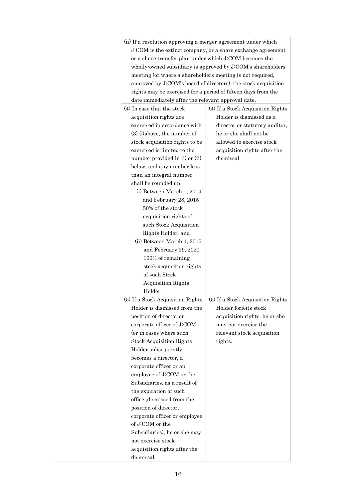| (ii) If a resolution approving a merger agreement under which  |                                   |  |  |  |
|----------------------------------------------------------------|-----------------------------------|--|--|--|
| J:COM is the extinct company, or a share exchange agreement    |                                   |  |  |  |
| or a share transfer plan under which J:COM becomes the         |                                   |  |  |  |
| wholly-owned subsidiary is approved by J:COM's shareholders    |                                   |  |  |  |
| meeting (or where a shareholders meeting is not required,      |                                   |  |  |  |
| approved by J:COM's board of directors), the stock acquisition |                                   |  |  |  |
| rights may be exercised for a period of fifteen days from the  |                                   |  |  |  |
| date immediately after the relevant approval date.             |                                   |  |  |  |
| (4) In case that the stock                                     | (4) If a Stock Acquisition Rights |  |  |  |
| acquisition rights are                                         | Holder is dismissed as a          |  |  |  |
| exercised in accordance with                                   | director or statutory auditor,    |  |  |  |
| $(3)$ (i) above, the number of                                 | he or she shall not be            |  |  |  |
| stock acquisition rights to be                                 | allowed to exercise stock         |  |  |  |
| exercised is limited to the                                    | acquisition rights after the      |  |  |  |
|                                                                |                                   |  |  |  |
| number provided in (i) or (ii)                                 | dismissal.                        |  |  |  |
| below, and any number less                                     |                                   |  |  |  |
| than an integral number                                        |                                   |  |  |  |
| shall be rounded up:                                           |                                   |  |  |  |
| (i) Between March 1, 2014                                      |                                   |  |  |  |
| and February 28, 2015                                          |                                   |  |  |  |
| 50% of the stock                                               |                                   |  |  |  |
| acquisition rights of                                          |                                   |  |  |  |
| such Stock Acquisition                                         |                                   |  |  |  |
| Rights Holder; and                                             |                                   |  |  |  |
| (ii) Between March 1, 2015                                     |                                   |  |  |  |
| and February 29, 2020                                          |                                   |  |  |  |
| 100% of remaining                                              |                                   |  |  |  |
| stock acquisition rights                                       |                                   |  |  |  |
| of such Stock                                                  |                                   |  |  |  |
| <b>Acquisition Rights</b>                                      |                                   |  |  |  |
| Holder.                                                        |                                   |  |  |  |
| (5) If a Stock Acquisition Rights                              | (5) If a Stock Acquisition Rights |  |  |  |
| Holder is dismissed from the                                   | Holder forfeits stock             |  |  |  |
| position of director or                                        | acquisition rights, he or she     |  |  |  |
| corporate officer of J:COM                                     | may not exercise the              |  |  |  |
| (or in cases where such                                        | relevant stock acquisition        |  |  |  |
| <b>Stock Acquisition Rights</b>                                | rights.                           |  |  |  |
| Holder subsequently                                            |                                   |  |  |  |
| becomes a director, a                                          |                                   |  |  |  |
| corporate officer or an                                        |                                   |  |  |  |
| employee of J:COM or the                                       |                                   |  |  |  |
| Subsidiaries, as a result of                                   |                                   |  |  |  |
| the expiration of such                                         |                                   |  |  |  |
| office, dismissed from the                                     |                                   |  |  |  |
| position of director,                                          |                                   |  |  |  |
|                                                                |                                   |  |  |  |
| corporate officer or employee                                  |                                   |  |  |  |
| of J:COM or the                                                |                                   |  |  |  |
| Subsidiaries), he or she may                                   |                                   |  |  |  |
| not exercise stock                                             |                                   |  |  |  |
| acquisition rights after the                                   |                                   |  |  |  |
| dismissal.                                                     |                                   |  |  |  |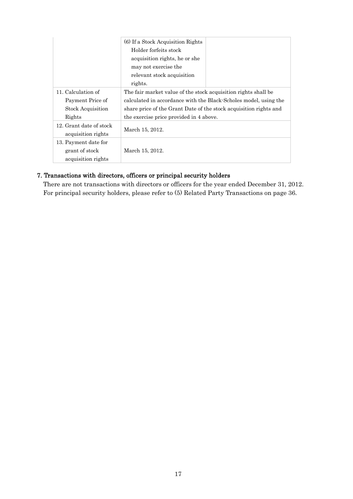|                          | (6) If a Stock Acquisition Rights                                 |  |
|--------------------------|-------------------------------------------------------------------|--|
|                          | Holder forfeits stock                                             |  |
|                          | acquisition rights, he or she                                     |  |
|                          | may not exercise the                                              |  |
|                          | relevant stock acquisition                                        |  |
|                          | rights.                                                           |  |
| 11. Calculation of       | The fair market value of the stock acquisition rights shall be    |  |
| Payment Price of         | calculated in accordance with the Black-Scholes model, using the  |  |
| <b>Stock Acquisition</b> | share price of the Grant Date of the stock acquisition rights and |  |
| Rights                   | the exercise price provided in 4 above.                           |  |
| 12. Grant date of stock  |                                                                   |  |
| acquisition rights       | March 15, 2012.                                                   |  |
| 13. Payment date for     |                                                                   |  |
| grant of stock           | March 15, 2012.                                                   |  |
| acquisition rights       |                                                                   |  |

#### 7. Transactions with directors, officers or principal security holders

There are not transactions with directors or officers for the year ended December 31, 2012. For principal security holders, please refer to (5) Related Party Transactions on page 36.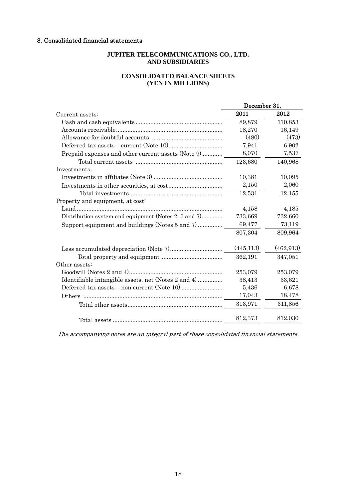#### 8. Consolidated financial statements

#### **JUPITER TELECOMMUNICATIONS CO., LTD. AND SUBSIDIARIES**

#### **CONSOLIDATED BALANCE SHEETS (YEN IN MILLIONS)**

|                                                      | December 31, |            |
|------------------------------------------------------|--------------|------------|
| Current assets:                                      | 2011         | 2012       |
|                                                      | 89,879       | 110,853    |
|                                                      | 18,270       | 16,149     |
|                                                      | (480)        | (473)      |
|                                                      | 7,941        | 6,902      |
| Prepaid expenses and other current assets (Note 9)   | 8,070        | 7,537      |
|                                                      | 123,680      | 140,968    |
| Investments:                                         |              |            |
|                                                      | 10,381       | 10,095     |
|                                                      | 2,150        | 2,060      |
|                                                      | 12,531       | 12,155     |
| Property and equipment, at cost:                     |              |            |
|                                                      | 4,158        | 4,185      |
| Distribution system and equipment (Notes 2, 5 and 7) | 733,669      | 732,660    |
| Support equipment and buildings (Notes 5 and 7)      | 69,477       | 73,119     |
|                                                      | 807,304      | 809,964    |
|                                                      | (445, 113)   | (462, 913) |
|                                                      | 362,191      | 347,051    |
| Other assets:                                        |              |            |
|                                                      | 253,079      | 253,079    |
| Identifiable intangible assets, net (Notes 2 and 4)  | 38,413       | 33,621     |
|                                                      | 5,436        | 6,678      |
|                                                      | 17,043       | 18,478     |
|                                                      | 313,971      | 311,856    |
|                                                      | 812,373      | 812,030    |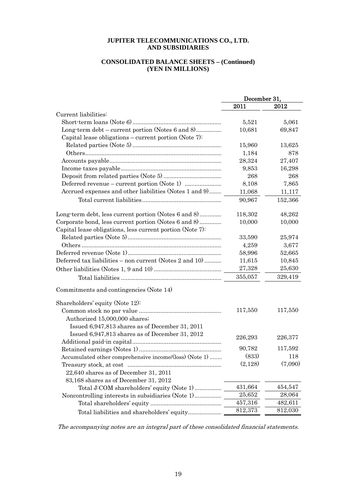#### **CONSOLIDATED BALANCE SHEETS – (Continued) (YEN IN MILLIONS)**

|                                                           | December 31, |         |  |
|-----------------------------------------------------------|--------------|---------|--|
|                                                           | 2011         | 2012    |  |
| Current liabilities:                                      |              |         |  |
|                                                           | 5,521        | 5,061   |  |
| Long-term debt – current portion (Notes 6 and 8)          | 10,681       | 69,847  |  |
| Capital lease obligations – current portion (Note 7):     |              |         |  |
|                                                           | 15,960       | 13,625  |  |
|                                                           | 1,184        | 878     |  |
|                                                           | 28,324       | 27,407  |  |
|                                                           | 9,853        | 16,298  |  |
|                                                           | 268          | 268     |  |
|                                                           | 8,108        | 7,865   |  |
| Accrued expenses and other liabilities (Notes 1 and 9)    | 11,068       | 11,117  |  |
|                                                           | 90,967       | 152,366 |  |
| Long-term debt, less current portion (Notes 6 and 8)      | 118,302      | 48,262  |  |
| Corporate bond, less current portion (Notes 6 and 8)      | 10,000       | 10,000  |  |
| Capital lease obligations, less current portion (Note 7): |              |         |  |
|                                                           | 33,590       | 25,974  |  |
|                                                           | 4,259        | 3,677   |  |
|                                                           | 58,996       | 52,665  |  |
| Deferred tax liabilities - non current (Notes 2 and 10)   | 11,615       | 10,845  |  |
|                                                           | 27,328       | 25,630  |  |
|                                                           | 355,057      | 329,419 |  |
| Commitments and contingencies (Note 14)                   |              |         |  |
| Shareholders' equity (Note 12):                           |              |         |  |
|                                                           | 117,550      | 117,550 |  |
| Authorized 15,000,000 shares;                             |              |         |  |
| Issued 6,947,813 shares as of December 31, 2011           |              |         |  |
| Issued 6,947,813 shares as of December 31, 2012           | 226,293      | 226,377 |  |
|                                                           |              |         |  |
|                                                           | 90,782       | 117,592 |  |
| Accumulated other comprehensive income/(loss) (Note 1)    | (833)        | 118     |  |
|                                                           | (2,128)      | (7,090) |  |
| $22,640$ shares as of December 31, 2011                   |              |         |  |
| 83,168 shares as of December 31, 2012                     |              |         |  |
| Total J:COM shareholders' equity (Note 1)                 | 431,664      | 454,547 |  |
|                                                           | 25,652       | 28,064  |  |
|                                                           | 457,316      | 482,611 |  |
| Total liabilities and shareholders' equity                | 812,373      | 812,030 |  |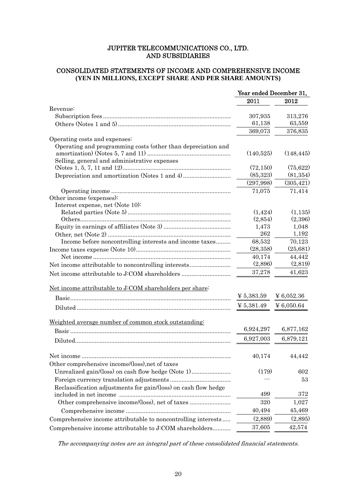#### CONSOLIDATED STATEMENTS OF INCOME AND COMPREHENSIVE INCOME **(YEN IN MILLIONS, EXCEPT SHARE AND PER SHARE AMOUNTS)**

|                                                                 | Year ended December 31, |            |
|-----------------------------------------------------------------|-------------------------|------------|
|                                                                 | 2011                    | 2012       |
| Revenue:                                                        |                         |            |
|                                                                 | 307,935                 | 313,276    |
|                                                                 | 61,138                  | 63,559     |
|                                                                 | 369,073                 | 376,835    |
| Operating costs and expenses:                                   |                         |            |
| Operating and programming costs (other than depreciation and    |                         |            |
|                                                                 | (140,525)               | (148, 445) |
| Selling, general and administrative expenses                    |                         |            |
|                                                                 | (72, 150)               | (75,622)   |
|                                                                 | (85, 323)               | (81, 354)  |
|                                                                 | (297,998)               | (305, 421) |
|                                                                 | 71,075                  | 71,414     |
| Other income (expenses):                                        |                         |            |
| Interest expense, net (Note 10):                                |                         |            |
|                                                                 | (1, 424)                | (1,135)    |
|                                                                 | (2,854)                 | (2,396)    |
|                                                                 | 1,473                   | 1,048      |
|                                                                 | 262                     | 1,192      |
| Income before noncontrolling interests and income taxes         | 68,532                  | 70,123     |
|                                                                 | (28, 358)               | (25, 681)  |
|                                                                 | 40,174                  | 44,442     |
|                                                                 | (2,896)                 | (2,819)    |
| Net income attributable to J:COM shareholders                   | 37,278                  | 41,623     |
| Net income attributable to J:COM shareholders per share:        |                         |            |
|                                                                 | $\frac{1}{2}$ 5,383.59  | ¥ 6,052.36 |
|                                                                 | $\frac{1}{2}$ 5,381.49  | ¥ 6,050.64 |
|                                                                 |                         |            |
| Weighted average number of common stock outstanding:            | 6,924,297               | 6,877,162  |
|                                                                 |                         |            |
|                                                                 | 6,927,003               | 6,879,121  |
|                                                                 | 40,174                  | 44,442     |
| Other comprehensive income/(loss), net of taxes                 |                         |            |
| Unrealized gain/(loss) on cash flow hedge (Note 1)              | (179)                   | 602        |
|                                                                 |                         | 53         |
| Reclassification adjustments for gain/(loss) on cash flow hedge |                         |            |
|                                                                 | 499                     | 372        |
| Other comprehensive income/(loss), net of taxes                 | 320                     | 1,027      |
|                                                                 | 40,494                  | 45,469     |
| Comprehensive income attributable to noncontrolling interests   | (2,889)                 | (2,895)    |
| Comprehensive income attributable to J:COM shareholders         | 37,605                  | 42,574     |
|                                                                 |                         |            |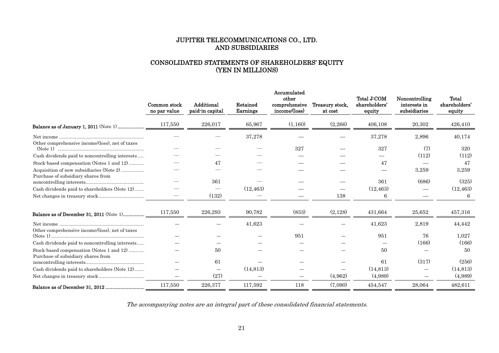#### CONSOLIDATED STATEMENTS OF SHAREHOLDERS' EQUITY (YEN IN MILLIONS)

|                                                 | Common stock<br>no par value | Additional<br>paid-in capital | Retained<br>Earnings | Accumulated<br>other<br>comprehensive<br>income/(loss) | Treasury stock,<br>at cost | Total J:COM<br>shareholders'<br>equity | Noncontrolling<br>interests in<br>subsidiaries | Total<br>shareholders'<br>equity |
|-------------------------------------------------|------------------------------|-------------------------------|----------------------|--------------------------------------------------------|----------------------------|----------------------------------------|------------------------------------------------|----------------------------------|
|                                                 | 117,550                      | 226,017                       | 65,967               | (1,160)                                                | (2,266)                    | 406,108                                | 20,302                                         | 426,410                          |
|                                                 |                              |                               | 37,278               |                                                        |                            | 37,278                                 | 2,896                                          | 40,174                           |
| Other comprehensive income/(loss), net of taxes |                              |                               |                      | 327                                                    |                            | 327                                    | (7)                                            | 320                              |
| Cash dividends paid to noncontrolling interests |                              |                               |                      |                                                        |                            |                                        | (112)                                          | (112)                            |
| Stock-based compensation (Notes 1 and 12)       |                              | 47                            |                      |                                                        |                            | 47                                     |                                                | 47                               |
| Acquisition of new subsidiaries (Note 2)        |                              |                               |                      |                                                        |                            |                                        | 3,259                                          | 3,259                            |
| Purchase of subsidiary shares from              |                              | 361                           |                      |                                                        |                            | 361                                    | (686)                                          | (325)                            |
| Cash dividends paid to shareholders (Note 12)   |                              |                               | (12, 463)            |                                                        |                            | (12, 463)                              |                                                | (12, 463)                        |
|                                                 |                              | (132)                         |                      |                                                        | 138                        | 6                                      |                                                | 6                                |
|                                                 | 117,550                      | 226,293                       | 90,782               | (833)                                                  | (2,128)                    | 431,664                                | 25,652                                         | 457,316                          |
| Other comprehensive income/(loss), net of taxes |                              |                               | 41,623               |                                                        |                            | 41,623                                 | 2,819                                          | 44,442                           |
|                                                 |                              |                               |                      | 951                                                    |                            | 951                                    | 76                                             | 1,027                            |
| Cash dividends paid to noncontrolling interests |                              |                               |                      |                                                        |                            |                                        | (166)                                          | (166)                            |
| Stock-based compensation (Notes 1 and 12)       |                              | 50                            |                      |                                                        |                            | 50                                     |                                                | 50                               |
| Purchase of subsidiary shares from              |                              | 61                            |                      |                                                        |                            | 61                                     | (317)                                          | (256)                            |
| Cash dividends paid to shareholders (Note 12)   |                              |                               | (14, 813)            |                                                        |                            | (14.813)                               |                                                | (14, 813)                        |
|                                                 |                              | (27)                          |                      |                                                        | (4,962)                    | (4,989)                                |                                                | (4,989)                          |
|                                                 | 117,550                      | 226,377                       | 117,592              | 118                                                    | (7,090)                    | 454,547                                | 28,064                                         | 482,611                          |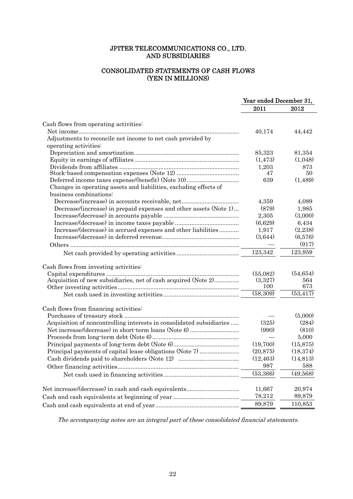#### CONSOLIDATED STATEMENTS OF CASH FLOWS (YEN IN MILLIONS)

| 2011<br>2012<br>Cash flows from operating activities:<br>40,174<br>44,442<br>Adjustments to reconcile net income to net cash provided by<br>operating activities:<br>85,323<br>81,354<br>(1, 473)<br>(1,048)<br>1,203<br>873<br>47<br>50<br>639<br>(1,489)<br>Changes in operating assets and liabilities, excluding effects of<br>business combinations:<br>Decrease/(increase) in accounts receivable, net<br>4,359<br>4,089<br>(879)<br>Decrease/(increase) in prepaid expenses and other assets (Note 1)<br>1,985<br>(3,000)<br>2,305<br>(6,629)<br>6,434<br>(2,238)<br>1,917<br>Increase/(decrease) in accrued expenses and other liabilities<br>(3,644)<br>(6,576)<br>(917)<br>123,342<br>123,959<br>Cash flows from investing activities:<br>(55,082)<br>(54, 654)<br>Acquisition of new subsidiaries, net of cash acquired (Note 2)<br>(3,327)<br>564<br>100<br>673<br>(58,309)<br>$\overline{(53, 417)}$<br>Cash flows from financing activities:<br>(5,000)<br>Acquisition of noncontrolling interests in consolidated subsidiaries<br>(325)<br>(284)<br>(990)<br>(810)<br>5,000<br>(15, 875)<br>(19,700)<br>(20, 875)<br>(18, 374)<br>Principal payments of capital lease obligations (Note 7)<br>(12, 463)<br>(14, 813)<br>987<br>588<br>(53, 366)<br>(49,568)<br>11,667<br>20,974<br>78,212<br>89,879<br>89,879<br>110,853 | Year ended December 31, |  |  |
|-----------------------------------------------------------------------------------------------------------------------------------------------------------------------------------------------------------------------------------------------------------------------------------------------------------------------------------------------------------------------------------------------------------------------------------------------------------------------------------------------------------------------------------------------------------------------------------------------------------------------------------------------------------------------------------------------------------------------------------------------------------------------------------------------------------------------------------------------------------------------------------------------------------------------------------------------------------------------------------------------------------------------------------------------------------------------------------------------------------------------------------------------------------------------------------------------------------------------------------------------------------------------------------------------------------------------------------------|-------------------------|--|--|
|                                                                                                                                                                                                                                                                                                                                                                                                                                                                                                                                                                                                                                                                                                                                                                                                                                                                                                                                                                                                                                                                                                                                                                                                                                                                                                                                         |                         |  |  |
|                                                                                                                                                                                                                                                                                                                                                                                                                                                                                                                                                                                                                                                                                                                                                                                                                                                                                                                                                                                                                                                                                                                                                                                                                                                                                                                                         |                         |  |  |
|                                                                                                                                                                                                                                                                                                                                                                                                                                                                                                                                                                                                                                                                                                                                                                                                                                                                                                                                                                                                                                                                                                                                                                                                                                                                                                                                         |                         |  |  |
|                                                                                                                                                                                                                                                                                                                                                                                                                                                                                                                                                                                                                                                                                                                                                                                                                                                                                                                                                                                                                                                                                                                                                                                                                                                                                                                                         |                         |  |  |
|                                                                                                                                                                                                                                                                                                                                                                                                                                                                                                                                                                                                                                                                                                                                                                                                                                                                                                                                                                                                                                                                                                                                                                                                                                                                                                                                         |                         |  |  |
|                                                                                                                                                                                                                                                                                                                                                                                                                                                                                                                                                                                                                                                                                                                                                                                                                                                                                                                                                                                                                                                                                                                                                                                                                                                                                                                                         |                         |  |  |
|                                                                                                                                                                                                                                                                                                                                                                                                                                                                                                                                                                                                                                                                                                                                                                                                                                                                                                                                                                                                                                                                                                                                                                                                                                                                                                                                         |                         |  |  |
|                                                                                                                                                                                                                                                                                                                                                                                                                                                                                                                                                                                                                                                                                                                                                                                                                                                                                                                                                                                                                                                                                                                                                                                                                                                                                                                                         |                         |  |  |
|                                                                                                                                                                                                                                                                                                                                                                                                                                                                                                                                                                                                                                                                                                                                                                                                                                                                                                                                                                                                                                                                                                                                                                                                                                                                                                                                         |                         |  |  |
|                                                                                                                                                                                                                                                                                                                                                                                                                                                                                                                                                                                                                                                                                                                                                                                                                                                                                                                                                                                                                                                                                                                                                                                                                                                                                                                                         |                         |  |  |
|                                                                                                                                                                                                                                                                                                                                                                                                                                                                                                                                                                                                                                                                                                                                                                                                                                                                                                                                                                                                                                                                                                                                                                                                                                                                                                                                         |                         |  |  |
|                                                                                                                                                                                                                                                                                                                                                                                                                                                                                                                                                                                                                                                                                                                                                                                                                                                                                                                                                                                                                                                                                                                                                                                                                                                                                                                                         |                         |  |  |
|                                                                                                                                                                                                                                                                                                                                                                                                                                                                                                                                                                                                                                                                                                                                                                                                                                                                                                                                                                                                                                                                                                                                                                                                                                                                                                                                         |                         |  |  |
|                                                                                                                                                                                                                                                                                                                                                                                                                                                                                                                                                                                                                                                                                                                                                                                                                                                                                                                                                                                                                                                                                                                                                                                                                                                                                                                                         |                         |  |  |
|                                                                                                                                                                                                                                                                                                                                                                                                                                                                                                                                                                                                                                                                                                                                                                                                                                                                                                                                                                                                                                                                                                                                                                                                                                                                                                                                         |                         |  |  |
|                                                                                                                                                                                                                                                                                                                                                                                                                                                                                                                                                                                                                                                                                                                                                                                                                                                                                                                                                                                                                                                                                                                                                                                                                                                                                                                                         |                         |  |  |
|                                                                                                                                                                                                                                                                                                                                                                                                                                                                                                                                                                                                                                                                                                                                                                                                                                                                                                                                                                                                                                                                                                                                                                                                                                                                                                                                         |                         |  |  |
|                                                                                                                                                                                                                                                                                                                                                                                                                                                                                                                                                                                                                                                                                                                                                                                                                                                                                                                                                                                                                                                                                                                                                                                                                                                                                                                                         |                         |  |  |
|                                                                                                                                                                                                                                                                                                                                                                                                                                                                                                                                                                                                                                                                                                                                                                                                                                                                                                                                                                                                                                                                                                                                                                                                                                                                                                                                         |                         |  |  |
|                                                                                                                                                                                                                                                                                                                                                                                                                                                                                                                                                                                                                                                                                                                                                                                                                                                                                                                                                                                                                                                                                                                                                                                                                                                                                                                                         |                         |  |  |
|                                                                                                                                                                                                                                                                                                                                                                                                                                                                                                                                                                                                                                                                                                                                                                                                                                                                                                                                                                                                                                                                                                                                                                                                                                                                                                                                         |                         |  |  |
|                                                                                                                                                                                                                                                                                                                                                                                                                                                                                                                                                                                                                                                                                                                                                                                                                                                                                                                                                                                                                                                                                                                                                                                                                                                                                                                                         |                         |  |  |
|                                                                                                                                                                                                                                                                                                                                                                                                                                                                                                                                                                                                                                                                                                                                                                                                                                                                                                                                                                                                                                                                                                                                                                                                                                                                                                                                         |                         |  |  |
|                                                                                                                                                                                                                                                                                                                                                                                                                                                                                                                                                                                                                                                                                                                                                                                                                                                                                                                                                                                                                                                                                                                                                                                                                                                                                                                                         |                         |  |  |
|                                                                                                                                                                                                                                                                                                                                                                                                                                                                                                                                                                                                                                                                                                                                                                                                                                                                                                                                                                                                                                                                                                                                                                                                                                                                                                                                         |                         |  |  |
|                                                                                                                                                                                                                                                                                                                                                                                                                                                                                                                                                                                                                                                                                                                                                                                                                                                                                                                                                                                                                                                                                                                                                                                                                                                                                                                                         |                         |  |  |
|                                                                                                                                                                                                                                                                                                                                                                                                                                                                                                                                                                                                                                                                                                                                                                                                                                                                                                                                                                                                                                                                                                                                                                                                                                                                                                                                         |                         |  |  |
|                                                                                                                                                                                                                                                                                                                                                                                                                                                                                                                                                                                                                                                                                                                                                                                                                                                                                                                                                                                                                                                                                                                                                                                                                                                                                                                                         |                         |  |  |
|                                                                                                                                                                                                                                                                                                                                                                                                                                                                                                                                                                                                                                                                                                                                                                                                                                                                                                                                                                                                                                                                                                                                                                                                                                                                                                                                         |                         |  |  |
|                                                                                                                                                                                                                                                                                                                                                                                                                                                                                                                                                                                                                                                                                                                                                                                                                                                                                                                                                                                                                                                                                                                                                                                                                                                                                                                                         |                         |  |  |
|                                                                                                                                                                                                                                                                                                                                                                                                                                                                                                                                                                                                                                                                                                                                                                                                                                                                                                                                                                                                                                                                                                                                                                                                                                                                                                                                         |                         |  |  |
|                                                                                                                                                                                                                                                                                                                                                                                                                                                                                                                                                                                                                                                                                                                                                                                                                                                                                                                                                                                                                                                                                                                                                                                                                                                                                                                                         |                         |  |  |
|                                                                                                                                                                                                                                                                                                                                                                                                                                                                                                                                                                                                                                                                                                                                                                                                                                                                                                                                                                                                                                                                                                                                                                                                                                                                                                                                         |                         |  |  |
|                                                                                                                                                                                                                                                                                                                                                                                                                                                                                                                                                                                                                                                                                                                                                                                                                                                                                                                                                                                                                                                                                                                                                                                                                                                                                                                                         |                         |  |  |
|                                                                                                                                                                                                                                                                                                                                                                                                                                                                                                                                                                                                                                                                                                                                                                                                                                                                                                                                                                                                                                                                                                                                                                                                                                                                                                                                         |                         |  |  |
|                                                                                                                                                                                                                                                                                                                                                                                                                                                                                                                                                                                                                                                                                                                                                                                                                                                                                                                                                                                                                                                                                                                                                                                                                                                                                                                                         |                         |  |  |
|                                                                                                                                                                                                                                                                                                                                                                                                                                                                                                                                                                                                                                                                                                                                                                                                                                                                                                                                                                                                                                                                                                                                                                                                                                                                                                                                         |                         |  |  |
|                                                                                                                                                                                                                                                                                                                                                                                                                                                                                                                                                                                                                                                                                                                                                                                                                                                                                                                                                                                                                                                                                                                                                                                                                                                                                                                                         |                         |  |  |
|                                                                                                                                                                                                                                                                                                                                                                                                                                                                                                                                                                                                                                                                                                                                                                                                                                                                                                                                                                                                                                                                                                                                                                                                                                                                                                                                         |                         |  |  |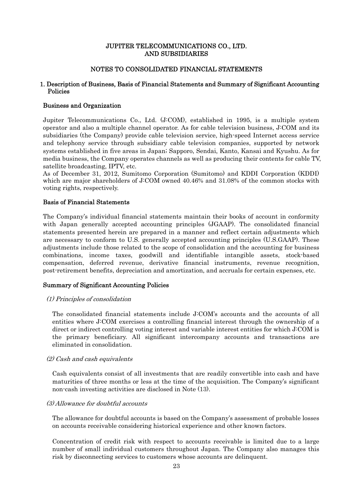#### NOTES TO CONSOLIDATED FINANCIAL STATEMENTS

#### 1. Description of Business, Basis of Financial Statements and Summary of Significant Accounting Policies

#### Business and Organization

Jupiter Telecommunications Co., Ltd. (J:COM), established in 1995, is a multiple system operator and also a multiple channel operator. As for cable television business, J:COM and its subsidiaries (the Company) provide cable television service, high-speed Internet access service and telephony service through subsidiary cable television companies, supported by network systems established in five areas in Japan; Sapporo, Sendai, Kanto, Kansai and Kyushu. As for media business, the Company operates channels as well as producing their contents for cable TV, satellite broadcasting, IPTV, etc.

As of December 31, 2012, Sumitomo Corporation (Sumitomo) and KDDI Corporation (KDDI) which are major shareholders of J:COM owned 40.46% and 31.08% of the common stocks with voting rights, respectively.

#### Basis of Financial Statements

The Company's individual financial statements maintain their books of account in conformity with Japan generally accepted accounting principles (JGAAP). The consolidated financial statements presented herein are prepared in a manner and reflect certain adjustments which are necessary to conform to U.S. generally accepted accounting principles (U.S.GAAP). These adjustments include those related to the scope of consolidation and the accounting for business combinations, income taxes, goodwill and identifiable intangible assets, stock-based compensation, deferred revenue, derivative financial instruments, revenue recognition, post-retirement benefits, depreciation and amortization, and accruals for certain expenses, etc.

#### Summary of Significant Accounting Policies

#### (1) Principles of consolidation

The consolidated financial statements include J:COM's accounts and the accounts of all entities where J:COM exercises a controlling financial interest through the ownership of a direct or indirect controlling voting interest and variable interest entities for which J:COM is the primary beneficiary. All significant intercompany accounts and transactions are eliminated in consolidation.

#### (2) Cash and cash equivalents

Cash equivalents consist of all investments that are readily convertible into cash and have maturities of three months or less at the time of the acquisition. The Company's significant non-cash investing activities are disclosed in Note (13).

#### (3) Allowance for doubtful accounts

The allowance for doubtful accounts is based on the Company's assessment of probable losses on accounts receivable considering historical experience and other known factors.

Concentration of credit risk with respect to accounts receivable is limited due to a large number of small individual customers throughout Japan. The Company also manages this risk by disconnecting services to customers whose accounts are delinquent.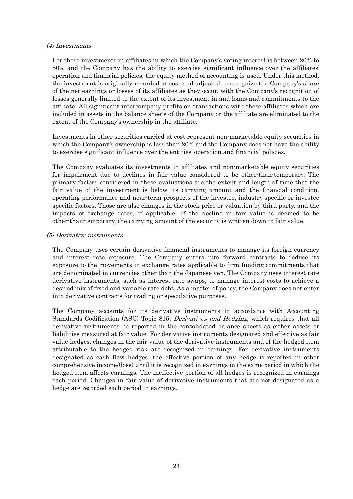#### (4) Investments

For those investments in affiliates in which the Company's voting interest is between 20% to 50% and the Company has the ability to exercise significant influence over the affiliates' operation and financial policies, the equity method of accounting is used. Under this method, the investment is originally recorded at cost and adjusted to recognize the Company's share of the net earnings or losses of its affiliates as they occur, with the Company's recognition of losses generally limited to the extent of its investment in and loans and commitments to the affiliate. All significant intercompany profits on transactions with these affiliates which are included in assets in the balance sheets of the Company or the affiliate are eliminated to the extent of the Company's ownership in the affiliate.

Investments in other securities carried at cost represent non-marketable equity securities in which the Company's ownership is less than 20% and the Company does not have the ability to exercise significant influence over the entities' operation and financial policies.

The Company evaluates its investments in affiliates and non-marketable equity securities for impairment due to declines in fair value considered to be other-than-temporary. The primary factors considered in these evaluations are the extent and length of time that the fair value of the investment is below its carrying amount and the financial condition, operating performance and near-term prospects of the investee, industry specific or investee specific factors. Those are also changes in the stock price or valuation by third party, and the impacts of exchange rates, if applicable. If the decline in fair value is deemed to be other-than-temporary, the carrying amount of the security is written down to fair value.

#### (5) Derivative instruments

The Company uses certain derivative financial instruments to manage its foreign currency and interest rate exposure. The Company enters into forward contracts to reduce its exposure to the movements in exchange rates applicable to firm funding commitments that are denominated in currencies other than the Japanese yen. The Company uses interest rate derivative instruments, such as interest rate swaps, to manage interest costs to achieve a desired mix of fixed and variable rate debt. As a matter of policy, the Company does not enter into derivative contracts for trading or speculative purposes.

The Company accounts for its derivative instruments in accordance with Accounting Standards Codification (ASC) Topic 815, Derivatives and Hedging, which requires that all derivative instruments be reported in the consolidated balance sheets as either assets or liabilities measured at fair value. For derivative instruments designated and effective as fair value hedges, changes in the fair value of the derivative instruments and of the hedged item attributable to the hedged risk are recognized in earnings. For derivative instruments designated as cash flow hedges, the effective portion of any hedge is reported in other comprehensive income/(loss) until it is recognized in earnings in the same period in which the hedged item affects earnings. The ineffective portion of all hedges is recognized in earnings each period. Changes in fair value of derivative instruments that are not designated as a hedge are recorded each period in earnings.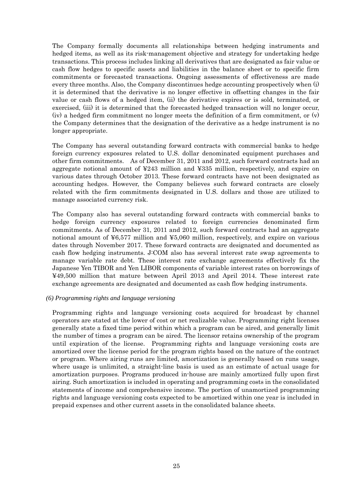The Company formally documents all relationships between hedging instruments and hedged items, as well as its risk-management objective and strategy for undertaking hedge transactions. This process includes linking all derivatives that are designated as fair value or cash flow hedges to specific assets and liabilities in the balance sheet or to specific firm commitments or forecasted transactions. Ongoing assessments of effectiveness are made every three months. Also, the Company discontinues hedge accounting prospectively when (i) it is determined that the derivative is no longer effective in offsetting changes in the fair value or cash flows of a hedged item, (ii) the derivative expires or is sold, terminated, or exercised, (iii) it is determined that the forecasted hedged transaction will no longer occur, (iv) a hedged firm commitment no longer meets the definition of a firm commitment, or (v) the Company determines that the designation of the derivative as a hedge instrument is no longer appropriate.

The Company has several outstanding forward contracts with commercial banks to hedge foreign currency exposures related to U.S. dollar denominated equipment purchases and other firm commitments. As of December 31, 2011 and 2012, such forward contracts had an aggregate notional amount of  $\text{\textsterling}243$  million and  $\text{\textsterling}335$  million, respectively, and expire on various dates through October 2013. These forward contracts have not been designated as accounting hedges. However, the Company believes such forward contracts are closely related with the firm commitments designated in U.S. dollars and those are utilized to manage associated currency risk.

The Company also has several outstanding forward contracts with commercial banks to hedge foreign currency exposures related to foreign currencies denominated firm commitments. As of December 31, 2011 and 2012, such forward contracts had an aggregate notional amount of  $\frac{1}{26,577}$  million and  $\frac{1}{25,060}$  million, respectively, and expire on various dates through November 2017. These forward contracts are designated and documented as cash flow hedging instruments. J:COM also has several interest rate swap agreements to manage variable rate debt. These interest rate exchange agreements effectively fix the Japanese Yen TIBOR and Yen LIBOR components of variable interest rates on borrowings of ¥49,500 million that mature between April 2013 and April 2014. These interest rate exchange agreements are designated and documented as cash flow hedging instruments.

#### *(6) Programming rights and language versioning*

Programming rights and language versioning costs acquired for broadcast by channel operators are stated at the lower of cost or net realizable value. Programming right licenses generally state a fixed time period within which a program can be aired, and generally limit the number of times a program can be aired. The licensor retains ownership of the program until expiration of the license. Programming rights and language versioning costs are amortized over the license period for the program rights based on the nature of the contract or program. Where airing runs are limited, amortization is generally based on runs usage, where usage is unlimited, a straight-line basis is used as an estimate of actual usage for amortization purposes. Programs produced in-house are mainly amortized fully upon first airing. Such amortization is included in operating and programming costs in the consolidated statements of income and comprehensive income. The portion of unamortized programming rights and language versioning costs expected to be amortized within one year is included in prepaid expenses and other current assets in the consolidated balance sheets.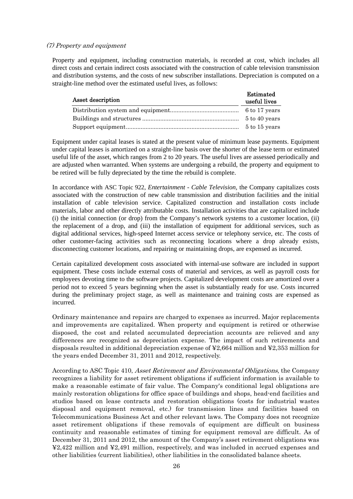#### (7) Property and equipment

Property and equipment, including construction materials, is recorded at cost, which includes all direct costs and certain indirect costs associated with the construction of cable television transmission and distribution systems, and the costs of new subscriber installations. Depreciation is computed on a straight-line method over the estimated useful lives, as follows:

| Asset description | <b>Estimated</b><br>useful lives |
|-------------------|----------------------------------|
|                   |                                  |
|                   | 5 to 40 years                    |
|                   | 5 to 15 years                    |

Equipment under capital leases is stated at the present value of minimum lease payments. Equipment under capital leases is amortized on a straight-line basis over the shorter of the lease term or estimated useful life of the asset, which ranges from 2 to 20 years. The useful lives are assessed periodically and are adjusted when warranted. When systems are undergoing a rebuild, the property and equipment to be retired will be fully depreciated by the time the rebuild is complete.

In accordance with ASC Topic 922, *Entertainment - Cable Television,* the Company capitalizes costs associated with the construction of new cable transmission and distribution facilities and the initial installation of cable television service. Capitalized construction and installation costs include materials, labor and other directly attributable costs. Installation activities that are capitalized include (i) the initial connection (or drop) from the Company's network systems to a customer location, (ii) the replacement of a drop, and (iii) the installation of equipment for additional services, such as digital additional services, high-speed Internet access service or telephony service, etc. The costs of other customer-facing activities such as reconnecting locations where a drop already exists, disconnecting customer locations, and repairing or maintaining drops, are expensed as incurred.

Certain capitalized development costs associated with internal-use software are included in support equipment. These costs include external costs of material and services, as well as payroll costs for employees devoting time to the software projects. Capitalized development costs are amortized over a period not to exceed 5 years beginning when the asset is substantially ready for use. Costs incurred during the preliminary project stage, as well as maintenance and training costs are expensed as incurred.

Ordinary maintenance and repairs are charged to expenses as incurred. Major replacements and improvements are capitalized. When property and equipment is retired or otherwise disposed, the cost and related accumulated depreciation accounts are relieved and any differences are recognized as depreciation expense. The impact of such retirements and disposals resulted in additional depreciation expense of ¥2,664 million and ¥2,353 million for the years ended December 31, 2011 and 2012, respectively.

According to ASC Topic 410, Asset Retirement and Environmental Obligations, the Company recognizes a liability for asset retirement obligations if sufficient information is available to make a reasonable estimate of fair value. The Company's conditional legal obligations are mainly restoration obligations for office space of buildings and shops, head-end facilities and studios based on lease contracts and restoration obligations (costs for industrial wastes disposal and equipment removal, etc.) for transmission lines and facilities based on Telecommunications Business Act and other relevant laws. The Company does not recognize asset retirement obligations if these removals of equipment are difficult on business continuity and reasonable estimates of timing for equipment removal are difficult. As of December 31, 2011 and 2012, the amount of the Company's asset retirement obligations was ¥2,422 million and ¥2,491 million, respectively, and was included in accrued expenses and other liabilities (current liabilities), other liabilities in the consolidated balance sheets.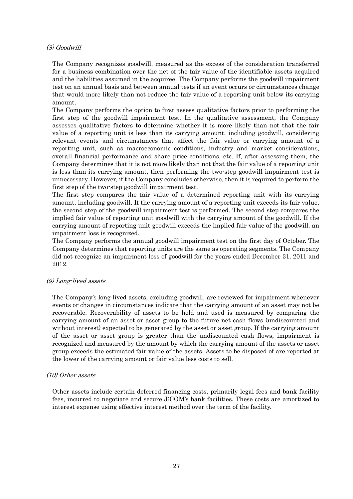#### (8) Goodwill

The Company recognizes goodwill, measured as the excess of the consideration transferred for a business combination over the net of the fair value of the identifiable assets acquired and the liabilities assumed in the acquiree. The Company performs the goodwill impairment test on an annual basis and between annual tests if an event occurs or circumstances change that would more likely than not reduce the fair value of a reporting unit below its carrying amount.

The Company performs the option to first assess qualitative factors prior to performing the first step of the goodwill impairment test. In the qualitative assessment, the Company assesses qualitative factors to determine whether it is more likely than not that the fair value of a reporting unit is less than its carrying amount, including goodwill, considering relevant events and circumstances that affect the fair value or carrying amount of a reporting unit, such as macroeconomic conditions, industry and market considerations, overall financial performance and share price conditions, etc. If, after assessing them, the Company determines that it is not more likely than not that the fair value of a reporting unit is less than its carrying amount, then performing the two-step goodwill impairment test is unnecessary. However, if the Company concludes otherwise, then it is required to perform the first step of the two-step goodwill impairment test.

The first step compares the fair value of a determined reporting unit with its carrying amount, including goodwill. If the carrying amount of a reporting unit exceeds its fair value, the second step of the goodwill impairment test is performed. The second step compares the implied fair value of reporting unit goodwill with the carrying amount of the goodwill. If the carrying amount of reporting unit goodwill exceeds the implied fair value of the goodwill, an impairment loss is recognized.

The Company performs the annual goodwill impairment test on the first day of October. The Company determines that reporting units are the same as operating segments. The Company did not recognize an impairment loss of goodwill for the years ended December 31, 2011 and 2012.

#### (9) Long-lived assets

The Company's long-lived assets, excluding goodwill, are reviewed for impairment whenever events or changes in circumstances indicate that the carrying amount of an asset may not be recoverable. Recoverability of assets to be held and used is measured by comparing the carrying amount of an asset or asset group to the future net cash flows (undiscounted and without interest) expected to be generated by the asset or asset group. If the carrying amount of the asset or asset group is greater than the undiscounted cash flows, impairment is recognized and measured by the amount by which the carrying amount of the assets or asset group exceeds the estimated fair value of the assets. Assets to be disposed of are reported at the lower of the carrying amount or fair value less costs to sell.

#### (10) Other assets

Other assets include certain deferred financing costs, primarily legal fees and bank facility fees, incurred to negotiate and secure J:COM's bank facilities. These costs are amortized to interest expense using effective interest method over the term of the facility.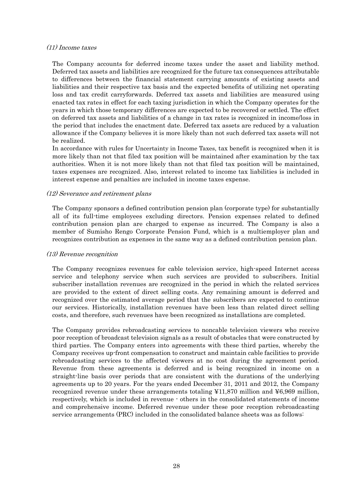#### (11) Income taxes

The Company accounts for deferred income taxes under the asset and liability method. Deferred tax assets and liabilities are recognized for the future tax consequences attributable to differences between the financial statement carrying amounts of existing assets and liabilities and their respective tax basis and the expected benefits of utilizing net operating loss and tax credit carryforwards. Deferred tax assets and liabilities are measured using enacted tax rates in effect for each taxing jurisdiction in which the Company operates for the years in which those temporary differences are expected to be recovered or settled. The effect on deferred tax assets and liabilities of a change in tax rates is recognized in income/loss in the period that includes the enactment date. Deferred tax assets are reduced by a valuation allowance if the Company believes it is more likely than not such deferred tax assets will not be realized.

In accordance with rules for Uncertainty in Income Taxes, tax benefit is recognized when it is more likely than not that filed tax position will be maintained after examination by the tax authorities. When it is not more likely than not that filed tax position will be maintained, taxes expenses are recognized. Also, interest related to income tax liabilities is included in interest expense and penalties are included in income taxes expense.

#### (12) Severance and retirement plans

The Company sponsors a defined contribution pension plan (corporate type) for substantially all of its full-time employees excluding directors. Pension expenses related to defined contribution pension plan are charged to expense as incurred. The Company is also a member of Sumisho Rengo Corporate Pension Fund, which is a multiemployer plan and recognizes contribution as expenses in the same way as a defined contribution pension plan.

#### (13) Revenue recognition

The Company recognizes revenues for cable television service, high-speed Internet access service and telephony service when such services are provided to subscribers. Initial subscriber installation revenues are recognized in the period in which the related services are provided to the extent of direct selling costs. Any remaining amount is deferred and recognized over the estimated average period that the subscribers are expected to continue our services. Historically, installation revenues have been less than related direct selling costs, and therefore, such revenues have been recognized as installations are completed.

The Company provides rebroadcasting services to noncable television viewers who receive poor reception of broadcast television signals as a result of obstacles that were constructed by third parties. The Company enters into agreements with these third parties, whereby the Company receives up-front compensation to construct and maintain cable facilities to provide rebroadcasting services to the affected viewers at no cost during the agreement period. Revenue from these agreements is deferred and is being recognized in income on a straight-line basis over periods that are consistent with the durations of the underlying agreements up to 20 years. For the years ended December 31, 2011 and 2012, the Company recognized revenue under these arrangements totaling ¥11,870 million and ¥6,969 million, respectively, which is included in revenue - others in the consolidated statements of income and comprehensive income. Deferred revenue under these poor reception rebroadcasting service arrangements (PRC) included in the consolidated balance sheets was as follows: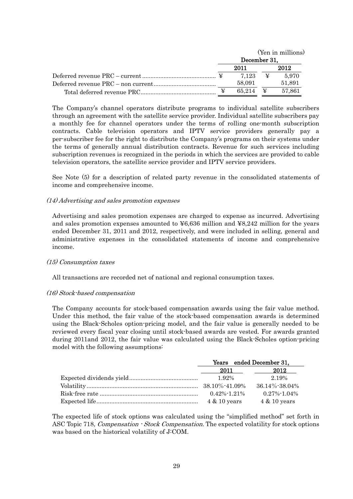|  | (Yen in millions)  |  |        |  |
|--|--------------------|--|--------|--|
|  | December 31,       |  |        |  |
|  | 2011               |  | 2012   |  |
|  | 7.123 ¥            |  | 5.970  |  |
|  | 58.091             |  | 51.891 |  |
|  | 65.214 $\bm{\Psi}$ |  | 57.861 |  |

The Company's channel operators distribute programs to individual satellite subscribers through an agreement with the satellite service provider. Individual satellite subscribers pay a monthly fee for channel operators under the terms of rolling one-month subscription contracts. Cable television operators and IPTV service providers generally pay a per-subscriber fee for the right to distribute the Company's programs on their systems under the terms of generally annual distribution contracts. Revenue for such services including subscription revenues is recognized in the periods in which the services are provided to cable television operators, the satellite service provider and IPTV service providers.

See Note (5) for a description of related party revenue in the consolidated statements of income and comprehensive income.

#### (14) Advertising and sales promotion expenses

Advertising and sales promotion expenses are charged to expense as incurred. Advertising and sales promotion expenses amounted to  $\text{\textless}\,6636$  million and  $\text{\textless}\,88,242$  million for the years ended December 31, 2011 and 2012, respectively, and were included in selling, general and administrative expenses in the consolidated statements of income and comprehensive income.

#### (15) Consumption taxes

All transactions are recorded net of national and regional consumption taxes.

#### (16) Stock-based compensation

The Company accounts for stock-based compensation awards using the fair value method. Under this method, the fair value of the stock-based compensation awards is determined using the Black-Scholes option-pricing model, and the fair value is generally needed to be reviewed every fiscal year closing until stock-based awards are vested. For awards granted during 2011and 2012, the fair value was calculated using the Black-Scholes option-pricing model with the following assumptions:

| Years ended December 31,     |                         |  |  |
|------------------------------|-------------------------|--|--|
| 2012<br>2011                 |                         |  |  |
| 1.92%                        | 2.19%                   |  |  |
| $38.10\%$ -41.09%            | $36.14\% - 38.04\%$     |  |  |
| $0.42\%$ <sup>-1</sup> .21\% | $0.27\% - 1.04\%$       |  |  |
| $4 \& 10 \text{ years}$      | $4 \& 10 \text{ years}$ |  |  |

The expected life of stock options was calculated using the "simplified method" set forth in ASC Topic 718, Compensation - Stock Compensation. The expected volatility for stock options was based on the historical volatility of J:COM.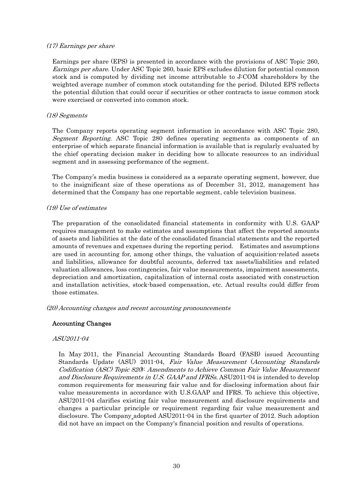#### (17) Earnings per share

Earnings per share (EPS) is presented in accordance with the provisions of ASC Topic 260, Earnings per share. Under ASC Topic 260, basic EPS excludes dilution for potential common stock and is computed by dividing net income attributable to J:COM shareholders by the weighted average number of common stock outstanding for the period. Diluted EPS reflects the potential dilution that could occur if securities or other contracts to issue common stock were exercised or converted into common stock.

#### (18) Segments

The Company reports operating segment information in accordance with ASC Topic 280, Segment Reporting. ASC Topic 280 defines operating segments as components of an enterprise of which separate financial information is available that is regularly evaluated by the chief operating decision maker in deciding how to allocate resources to an individual segment and in assessing performance of the segment.

The Company's media business is considered as a separate operating segment, however, due to the insignificant size of these operations as of December 31, 2012, management has determined that the Company has one reportable segment, cable television business.

#### (19) Use of estimates

The preparation of the consolidated financial statements in conformity with U.S. GAAP requires management to make estimates and assumptions that affect the reported amounts of assets and liabilities at the date of the consolidated financial statements and the reported amounts of revenues and expenses during the reporting period. Estimates and assumptions are used in accounting for, among other things, the valuation of acquisition-related assets and liabilities, allowance for doubtful accounts, deferred tax assets/liabilities and related valuation allowances, loss contingencies, fair value measurements, impairment assessments, depreciation and amortization, capitalization of internal costs associated with construction and installation activities, stock-based compensation, etc. Actual results could differ from those estimates.

(20) Accounting changes and recent accounting pronouncements

#### Accounting Changes

#### ASU2011-04

In May 2011, the Financial Accounting Standards Board (FASB) issued Accounting Standards Update (ASU) 2011-04, Fair Value Measurement (Accounting Standards Codification (ASC) Topic 820): Amendments to Achieve Common Fair Value Measurement and Disclosure Requirements in U.S. GAAP and IFRSs. ASU2011-04 is intended to develop common requirements for measuring fair value and for disclosing information about fair value measurements in accordance with U.S.GAAP and IFRS. To achieve this objective, ASU2011-04 clarifies existing fair value measurement and disclosure requirements and changes a particular principle or requirement regarding fair value measurement and disclosure. The Company adopted ASU2011-04 in the first quarter of 2012. Such adoption did not have an impact on the Company's financial position and results of operations.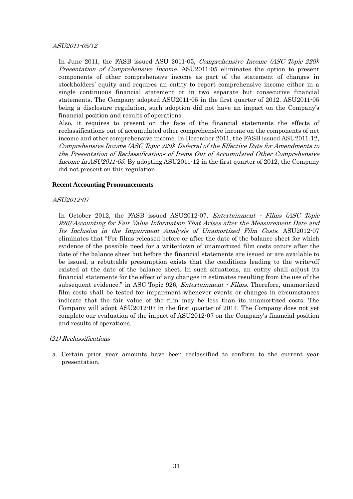#### ASU2011-05/12

In June 2011, the FASB issued ASU 2011-05, *Comprehensive Income (ASC Topic 220)*: Presentation of Comprehensive Income. ASU2011-05 eliminates the option to present components of other comprehensive income as part of the statement of changes in stockholders' equity and requires an entity to report comprehensive income either in a single continuous financial statement or in two separate but consecutive financial statements. The Company adopted ASU2011-05 in the first quarter of 2012. ASU2011-05 being a disclosure regulation, such adoption did not have an impact on the Company's financial position and results of operations.

Also, it requires to present on the face of the financial statements the effects of reclassifications out of accumulated other comprehensive income on the components of net income and other comprehensive income. In December 2011, the FASB issued ASU2011-12, Comprehensive Income (ASC Topic 220): Deferral of the Effective Date for Amendments to the Presentation of Reclassifications of Items Out of Accumulated Other Comprehensive Income in ASU2011-05. By adopting ASU2011-12 in the first quarter of 2012, the Company did not present on this regulation.

#### **Recent Accounting Pronouncements**

#### ASU2012-07

In October 2012, the FASB issued ASU2012-07, Entertainment - Films (ASC Topic 926):Accounting for Fair Value Information That Arises after the Measurement Date and Its Inclusion in the Impairment Analysis of Unamortized Film Costs. ASU2012-07 eliminates that "For films released before or after the date of the balance sheet for which evidence of the possible need for a write-down of unamortized film costs occurs after the date of the balance sheet but before the financial statements are issued or are available to be issued, a rebuttable presumption exists that the conditions leading to the write-off existed at the date of the balance sheet. In such situations, an entity shall adjust its financial statements for the effect of any changes in estimates resulting from the use of the subsequent evidence." in ASC Topic 926, *Entertainment - Films*. Therefore, unamortized film costs shall be tested for impairment whenever events or changes in circumstances indicate that the fair value of the film may be less than its unamortized costs. The Company will adopt ASU2012-07 in the first quarter of 2014. The Company does not yet complete our evaluation of the impact of ASU2012-07 on the Company's financial position and results of operations.

#### (21) Reclassifications

a. Certain prior year amounts have been reclassified to conform to the current year presentation.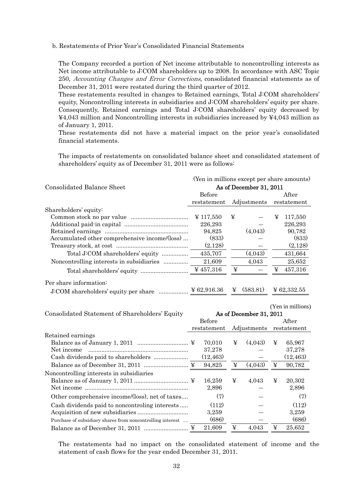#### b. Restatements of Prior Year's Consolidated Financial Statements

The Company recorded a portion of Net income attributable to noncontrolling interests as Net income attributable to J:COM shareholders up to 2008. In accordance with ASC Topic 250, Accounting Changes and Error Corrections, consolidated financial statements as of December 31, 2011 were restated during the third quarter of 2012.

These restatements resulted in changes to Retained earnings, Total J:COM shareholders' equity, Noncontrolling interests in subsidiaries and J:COM shareholders' equity per share. Consequently, Retained earnings and Total J:COM shareholders' equity decreased by ¥4,043 million and Noncontrolling interests in subsidiaries increased by ¥4,043 million as of January 1, 2011.

These restatements did not have a material impact on the prior year's consolidated financial statements.

The impacts of restatements on consolidated balance sheet and consolidated statement of shareholders' equity as of December 31, 2011 were as follows:

|                                               | (Yen in millions except per share amounts) |                         |                        |  |  |  |
|-----------------------------------------------|--------------------------------------------|-------------------------|------------------------|--|--|--|
| Consolidated Balance Sheet                    |                                            | As of December 31, 2011 |                        |  |  |  |
|                                               | Before                                     |                         | After                  |  |  |  |
|                                               | restatement                                | Adjustments             | restatement            |  |  |  |
| Shareholders' equity:                         |                                            |                         |                        |  |  |  |
|                                               | $\frac{1}{2}$ 117,550                      | ¥                       | 117,550<br>¥           |  |  |  |
|                                               | 226,293                                    |                         | 226,293                |  |  |  |
|                                               | 94,825                                     | (4,043)                 | 90,782                 |  |  |  |
| Accumulated other comprehensive income/(loss) | (833)                                      |                         | (833)                  |  |  |  |
|                                               | (2,128)                                    |                         | (2,128)                |  |  |  |
| Total J:COM shareholders' equity              | 435,707                                    | (4,043)                 | 431,664                |  |  |  |
|                                               | 21,609                                     | 4.043                   | 25,652                 |  |  |  |
|                                               | ¥ 457,316                                  | ¥                       | 457,316<br>¥           |  |  |  |
| Per share information:                        |                                            |                         |                        |  |  |  |
| J:COM shareholders' equity per share          | $\frac{1}{2}62,916.36$                     | (583.81)<br>¥           | $\frac{1}{2}62,332.55$ |  |  |  |

| Consolidated Statement of Shareholders' Equity             |   | Before          |   | As of December 31, 2011 |   | (Yen in millions)<br>After |
|------------------------------------------------------------|---|-----------------|---|-------------------------|---|----------------------------|
|                                                            |   | restatement     |   | Adjustments             |   | restatement                |
| Retained earnings                                          |   |                 |   |                         |   |                            |
|                                                            |   | 70,010          | ¥ | (4,043)                 | ¥ | 65,967                     |
| Net income                                                 |   | 37,278          |   |                         |   | 37,278                     |
|                                                            |   | (12, 463)       |   |                         |   | (12, 463)                  |
|                                                            |   | 94,825          | ¥ | (4,043)                 | ¥ | 90,782                     |
| Noncontrolling interests in subsidiaries                   |   | 16,259<br>2,896 | ¥ | 4,043                   | ¥ | 20,302<br>2,896            |
| Other comprehensive income/(loss), net of taxes            |   | (7)             |   |                         |   | (7)                        |
| Cash dividends paid to noncontroling interests             |   | (112)           |   |                         |   | (112)                      |
|                                                            |   | 3,259           |   |                         |   | 3,259                      |
| Purchase of subsidiary shares from noncontrolling interest |   | (686)           |   |                         |   | (686)                      |
|                                                            | ¥ | 21.609          | ¥ | 4.043                   | ¥ | 25.652                     |

The restatements had no impact on the consolidated statement of income and the statement of cash flows for the year ended December 31, 2011.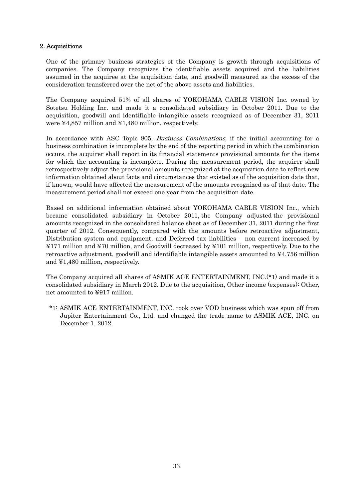#### 2. Acquisitions

One of the primary business strategies of the Company is growth through acquisitions of companies. The Company recognizes the identifiable assets acquired and the liabilities assumed in the acquiree at the acquisition date, and goodwill measured as the excess of the consideration transferred over the net of the above assets and liabilities.

The Company acquired 51% of all shares of YOKOHAMA CABLE VISION Inc. owned by Sotetsu Holding Inc. and made it a consolidated subsidiary in October 2011. Due to the acquisition, goodwill and identifiable intangible assets recognized as of December 31, 2011 were ¥4,857 million and ¥1,480 million, respectively.

In accordance with ASC Topic 805, *Business Combinations*, if the initial accounting for a business combination is incomplete by the end of the reporting period in which the combination occurs, the acquirer shall report in its financial statements provisional amounts for the items for which the accounting is incomplete. During the measurement period, the acquirer shall retrospectively adjust the provisional amounts recognized at the acquisition date to reflect new information obtained about facts and circumstances that existed as of the acquisition date that, if known, would have affected the measurement of the amounts recognized as of that date. The measurement period shall not exceed one year from the acquisition date.

Based on additional information obtained about YOKOHAMA CABLE VISION Inc., which became consolidated subsidiary in October 2011, the Company adjusted the provisional amounts recognized in the consolidated balance sheet as of December 31, 2011 during the first quarter of 2012. Consequently, compared with the amounts before retroactive adjustment, Distribution system and equipment, and Deferred tax liabilities – non current increased by ¥171 million and ¥70 million, and Goodwill decreased by ¥101 million, respectively. Due to the retroactive adjustment, goodwill and identifiable intangible assets amounted to ¥4,756 million and ¥1,480 million, respectively.

The Company acquired all shares of ASMIK ACE ENTERTAINMENT, INC.(\*1) and made it a consolidated subsidiary in March 2012. Due to the acquisition, Other income (expenses): Other, net amounted to ¥917 million.

 \*1: ASMIK ACE ENTERTAINMENT, INC. took over VOD business which was spun off from Jupiter Entertainment Co., Ltd. and changed the trade name to ASMIK ACE, INC. on December 1, 2012.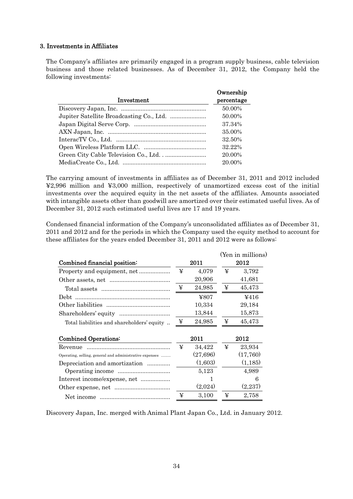#### 3. Investments in Affiliates

The Company's affiliates are primarily engaged in a program supply business, cable television business and those related businesses. As of December 31, 2012, the Company held the following investments:

|            | Ownership  |
|------------|------------|
| Investment | percentage |
|            | 50.00%     |
|            | 50.00%     |
|            | 37.34%     |
|            | 35.00%     |
|            | 32.50%     |
|            | 32.22%     |
|            | 20.00%     |
|            | 20.00%     |

The carrying amount of investments in affiliates as of December 31, 2011 and 2012 included ¥2,996 million and ¥3,000 million, respectively of unamortized excess cost of the initial investments over the acquired equity in the net assets of the affiliates. Amounts associated with intangible assets other than goodwill are amortized over their estimated useful lives. As of December 31, 2012 such estimated useful lives are 17 and 19 years.

Condensed financial information of the Company's unconsolidated affiliates as of December 31, 2011 and 2012 and for the periods in which the Company used the equity method to account for these affiliates for the years ended December 31, 2011 and 2012 were as follows:

|                                                         |   |           |   | (Yen in millions) |
|---------------------------------------------------------|---|-----------|---|-------------------|
| Combined financial position:                            |   | 2011      |   | 2012              |
| Property and equipment, net                             | ¥ | 4,079     | ¥ | 3,792             |
|                                                         |   | 20,906    |   | 41,681            |
|                                                         | ¥ | 24,985    | ¥ | 45,473            |
| Debt                                                    |   | ¥807      |   | 4416              |
|                                                         |   | 10,334    |   | 29,184            |
|                                                         |   | 13,844    |   | 15,873            |
| Total liabilities and shareholders' equity              | ¥ | 24,985    | ¥ | 45,473            |
| <b>Combined Operations:</b>                             |   | 2011      |   | 2012              |
| Revenue                                                 | ¥ | 34,422    | ¥ | 23,934            |
| Operating, selling, general and administrative expenses |   | (27, 696) |   | (17,760)          |
| Depreciation and amortization                           |   | (1,603)   |   | (1, 185)          |
|                                                         |   | 5,123     |   | 4.989             |
| Interest income/expense, net                            |   | 1         |   | 6                 |
|                                                         |   | (2,024)   |   | (2,237)           |
|                                                         | ¥ | 3,100     | ¥ | 2,758             |

Discovery Japan, Inc. merged with Animal Plant Japan Co., Ltd. in January 2012.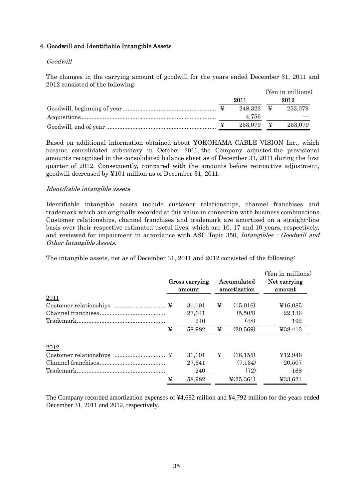#### 4. Goodwill and Identifiable Intangible Assets

#### Goodwill

The changes in the carrying amount of goodwill for the years ended December 31, 2011 and 2012 consisted of the following:

|  |                             | (Yen in millions) |
|--|-----------------------------|-------------------|
|  | 2011                        | 2012              |
|  | $248.323 \quad \frac{1}{2}$ | 253.079           |
|  | 4.756                       |                   |
|  | $253.079$ ¥                 | 253,079           |

Based on additional information obtained about YOKOHAMA CABLE VISION Inc., which became consolidated subsidiary in October 2011, the Company adjusted the provisional amounts recognized in the consolidated balance sheet as of December 31, 2011 during the first quarter of 2012. Consequently, compared with the amounts before retroactive adjustment, goodwill decreased by ¥101 million as of December 31, 2011.

#### Identifiable intangible assets

Identifiable intangible assets include customer relationships, channel franchises and trademark which are originally recorded at fair value in connection with business combinations. Customer relationships, channel franchises and trademark are amortized on a straight-line basis over their respective estimated useful lives, which are 10, 17 and 10 years, respectively, and reviewed for impairment in accordance with ASC Topic 350, *Intangibles*  $\cdot$  *Goodwill and* Other Intangible Assets.

The intangible assets, net as of December 31, 2011 and 2012 consisted of the following:

|             |   | Gross carrying<br>amount |   | Accumulated<br>amortization | (Yen in millions)<br>Net carrying<br>amount |  |
|-------------|---|--------------------------|---|-----------------------------|---------------------------------------------|--|
| <u>2011</u> |   |                          |   |                             |                                             |  |
|             |   | 31,101                   | ¥ | (15,016)                    | ¥16,085                                     |  |
|             |   | 27,641                   |   | (5,505)                     | 22,136                                      |  |
|             |   | 240                      |   | (48)                        | 192                                         |  |
|             | ¥ | 58,982                   | ¥ | (20, 569)                   | ¥38,413                                     |  |
| 2012        |   |                          |   |                             |                                             |  |
|             |   | 31,101                   | ¥ | (18, 155)                   | ¥12,946                                     |  |
|             |   | 27,641                   |   | (7,134)                     | 20,507                                      |  |
|             |   | 240                      |   | (72)                        | 168                                         |  |
|             | ¥ | 58,982                   |   | $\frac{1}{2}(25,361)$       | ¥33,621                                     |  |

The Company recorded amortization expenses of ¥4,682 million and ¥4,792 million for the years ended December 31, 2011 and 2012, respectively.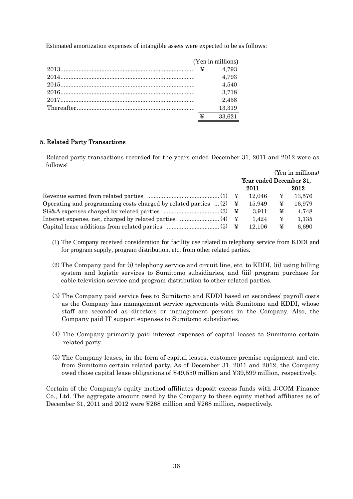Estimated amortization expenses of intangible assets were expected to be as follows:

|                                                                                            |   | (Yen in millions) |
|--------------------------------------------------------------------------------------------|---|-------------------|
| $2013$ $\frac{12013}{2013}$ $\frac{12013}{2013}$ $\frac{12013}{2013}$ $\frac{12013}{2013}$ |   | 4.793             |
|                                                                                            |   | 4.793             |
|                                                                                            |   | 4,540             |
|                                                                                            |   | 3.718             |
|                                                                                            |   | 2.458             |
|                                                                                            |   | 13,319            |
|                                                                                            | ¥ | 33,621            |

#### 5. Related Party Transactions

Related party transactions recorded for the years ended December 31, 2011 and 2012 were as follows:

|                                                                                    |                         |   | (Yen in millions) |  |  |
|------------------------------------------------------------------------------------|-------------------------|---|-------------------|--|--|
|                                                                                    | Year ended December 31, |   |                   |  |  |
|                                                                                    | 2011                    |   | 2012              |  |  |
|                                                                                    | 12.046                  | ¥ | 13,576            |  |  |
| Operating and programming costs charged by related parties $(2) \quad \frac{1}{2}$ | 15.949                  | ¥ | 16,979            |  |  |
|                                                                                    | 3.911                   | ¥ | 4,748             |  |  |
|                                                                                    | 1.424                   | ¥ | 1.135             |  |  |
|                                                                                    | 12.106                  | ¥ | 6,690             |  |  |

- (1) The Company received consideration for facility use related to telephony service from KDDI and for program supply, program distribution, etc. from other related parties.
- (2) The Company paid for (i) telephony service and circuit line, etc. to KDDI, (ii) using billing system and logistic services to Sumitomo subsidiaries, and (iii) program purchase for cable television service and program distribution to other related parties.
- (3) The Company paid service fees to Sumitomo and KDDI based on secondees' payroll costs as the Company has management service agreements with Sumitomo and KDDI, whose staff are seconded as directors or management persons in the Company. Also, the Company paid IT support expenses to Sumitomo subsidiaries.
- (4) The Company primarily paid interest expenses of capital leases to Sumitomo certain related party.
- (5) The Company leases, in the form of capital leases, customer premise equipment and etc. from Sumitomo certain related party. As of December 31, 2011 and 2012, the Company owed those capital lease obligations of ¥49,550 million and ¥39,599 million, respectively.

Certain of the Company's equity method affiliates deposit excess funds with J:COM Finance Co., Ltd. The aggregate amount owed by the Company to these equity method affiliates as of December 31, 2011 and 2012 were ¥268 million and ¥268 million, respectively.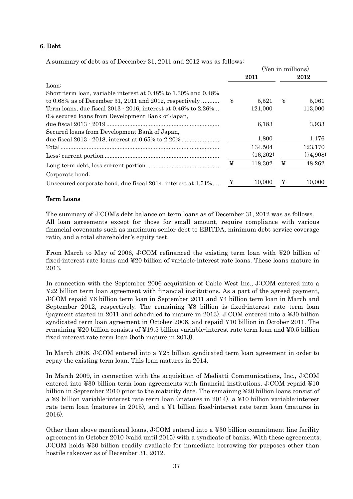#### 6. Debt

A summary of debt as of December 31, 2011 and 2012 was as follows:

|                                                                |   | (Yen in millions) |   |          |  |
|----------------------------------------------------------------|---|-------------------|---|----------|--|
|                                                                |   | 2011              |   | 2012     |  |
| Loan:                                                          |   |                   |   |          |  |
| Short term loan, variable interest at 0.48% to 1.30% and 0.48% |   |                   |   |          |  |
| to $0.68\%$ as of December 31, 2011 and 2012, respectively     | ¥ | 5,521             | ¥ | 5,061    |  |
| Term loans, due fiscal 2013 · 2016, interest at 0.46% to 2.26% |   | 121.000           |   | 113,000  |  |
| 0% secured loans from Development Bank of Japan,               |   |                   |   |          |  |
|                                                                |   | 6,183             |   | 3,933    |  |
| Secured loans from Development Bank of Japan,                  |   |                   |   |          |  |
|                                                                |   | 1,800             |   | 1,176    |  |
|                                                                |   | 134,504           |   | 123,170  |  |
|                                                                |   | (16,202)          |   | (74,908) |  |
|                                                                | ¥ | 118,302           | ¥ | 48,262   |  |
| Corporate bond:                                                |   |                   |   |          |  |
| Unsecured corporate bond, due fiscal 2014, interest at 1.51%   | ¥ | 10,000            | ¥ | 10,000   |  |

#### Term Loans

The summary of J:COM's debt balance on term loans as of December 31, 2012 was as follows. All loan agreements except for those for small amount, require compliance with various financial covenants such as maximum senior debt to EBITDA, minimum debt service coverage ratio, and a total shareholder's equity test.

From March to May of 2006, J:COM refinanced the existing term loan with ¥20 billion of fixed-interest rate loans and ¥20 billion of variable-interest rate loans. These loans mature in 2013.

In connection with the September 2006 acquisition of Cable West Inc., J:COM entered into a ¥22 billion term loan agreement with financial institutions. As a part of the agreed payment, J:COM repaid ¥6 billion term loan in September 2011 and ¥4 billion term loan in March and September 2012, respectively. The remaining ¥8 billion is fixed-interest rate term loan (payment started in 2011 and scheduled to mature in 2013). J:COM entered into a ¥30 billion syndicated term loan agreement in October 2006, and repaid ¥10 billion in October 2011. The remaining ¥20 billion consists of ¥19.5 billion variable-interest rate term loan and ¥0.5 billion fixed-interest rate term loan (both mature in 2013).

In March 2008, J:COM entered into a ¥25 billion syndicated term loan agreement in order to repay the existing term loan. This loan matures in 2014.

In March 2009, in connection with the acquisition of Mediatti Communications, Inc., J:COM entered into ¥30 billion term loan agreements with financial institutions. J:COM repaid ¥10 billion in September 2010 prior to the maturity date. The remaining ¥20 billion loans consist of a ¥9 billion variable-interest rate term loan (matures in 2014), a ¥10 billion variable-interest rate term loan (matures in 2015), and a ¥1 billion fixed-interest rate term loan (matures in 2016).

Other than above mentioned loans, J:COM entered into a ¥30 billion commitment line facility agreement in October 2010 (valid until 2015) with a syndicate of banks. With these agreements, J:COM holds ¥30 billion readily available for immediate borrowing for purposes other than hostile takeover as of December 31, 2012.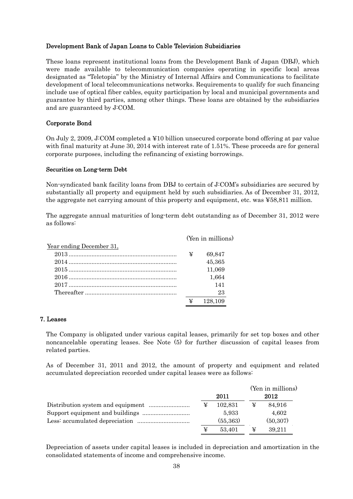#### Development Bank of Japan Loans to Cable Television Subsidiaries

These loans represent institutional loans from the Development Bank of Japan (DBJ), which were made available to telecommunication companies operating in specific local areas designated as "Teletopia" by the Ministry of Internal Affairs and Communications to facilitate development of local telecommunications networks. Requirements to qualify for such financing include use of optical fiber cables, equity participation by local and municipal governments and guarantee by third parties, among other things. These loans are obtained by the subsidiaries and are guaranteed by J:COM.

#### Corporate Bond

On July 2, 2009, J:COM completed a ¥10 billion unsecured corporate bond offering at par value with final maturity at June 30, 2014 with interest rate of 1.51%. These proceeds are for general corporate purposes, including the refinancing of existing borrowings.

#### Securities on Long-term Debt

Non-syndicated bank facility loans from DBJ to certain of J:COM's subsidiaries are secured by substantially all property and equipment held by such subsidiaries. As of December 31, 2012, the aggregate net carrying amount of this property and equipment, etc. was ¥58,811 million.

The aggregate annual maturities of long-term debt outstanding as of December 31, 2012 were as follows:

|                          |   | (Yen in millions) |
|--------------------------|---|-------------------|
| Year ending December 31, |   |                   |
|                          | ¥ | 69.847            |
| 2014                     |   | 45,365            |
|                          |   | 11,069            |
|                          |   | 1,664             |
|                          |   | 141               |
|                          |   | 23                |
|                          | ¥ | 128,109           |

#### 7. Leases

The Company is obligated under various capital leases, primarily for set top boxes and other noncancelable operating leases. See Note (5) for further discussion of capital leases from related parties.

As of December 31, 2011 and 2012, the amount of property and equipment and related accumulated depreciation recorded under capital leases were as follows:

|   |           |   | (Yen in millions) |
|---|-----------|---|-------------------|
|   | 2011      |   | 2012              |
| ¥ | 102.831   | ¥ | 84,916            |
|   | 5.933     |   | 4,602             |
|   | (55, 363) |   | (50, 307)         |
|   | 53.401    | ¥ | 39.211            |

Depreciation of assets under capital leases is included in depreciation and amortization in the consolidated statements of income and comprehensive income.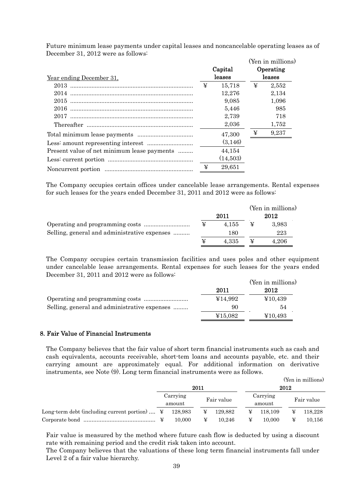Future minimum lease payments under capital leases and noncancelable operating leases as of December 31, 2012 were as follows:

| $10000$ $100000$ $10000$ $10000$ $1000$     |   |                   |   | (Yen in millions)   |
|---------------------------------------------|---|-------------------|---|---------------------|
| Year ending December 31,                    |   | Capital<br>leases |   | Operating<br>leases |
|                                             | ¥ | 15,718            | ¥ | 2,552               |
| 2014                                        |   | 12,276            |   | 2,134               |
|                                             |   | 9.085             |   | 1,096               |
|                                             |   | 5.446             |   | 985                 |
|                                             |   | 2,739             |   | 718                 |
|                                             |   | 2,036             |   | 1,752               |
|                                             |   | 47,300            | ¥ | 9,237               |
|                                             |   | (3,146)           |   |                     |
| Present value of net minimum lease payments |   | 44,154            |   |                     |
|                                             |   | (14,503)          |   |                     |
|                                             | ¥ | 29,651            |   |                     |

The Company occupies certain offices under cancelable lease arrangements. Rental expenses for such leases for the years ended December 31, 2011 and 2012 were as follows:

|                                              |   |       |   | (Yen in millions) |
|----------------------------------------------|---|-------|---|-------------------|
|                                              |   | 2011  |   | 2012              |
|                                              | ¥ | 4.155 | ¥ | 3.983             |
| Selling, general and administrative expenses |   | 180   |   | 223               |
|                                              | ¥ | 4.335 |   | 4.206             |

The Company occupies certain transmission facilities and uses poles and other equipment under cancelable lease arrangements. Rental expenses for such leases for the years ended December 31, 2011 and 2012 were as follows:

|                                              |         | (Yen in millions) |
|----------------------------------------------|---------|-------------------|
|                                              | 2011    | 2012              |
|                                              | ¥14.992 | ¥10,439           |
| Selling, general and administrative expenses | 90      | 54                |
|                                              | ¥15.082 | ¥10,493           |

#### 8. Fair Value of Financial Instruments

The Company believes that the fair value of short term financial instruments such as cash and cash equivalents, accounts receivable, short-tem loans and accounts payable, etc. and their carrying amount are approximately equal. For additional information on derivative instruments, see Note (9). Long term financial instruments were as follows.

|                                                          |                    |         |            |         |  |         |                    | (Yen in millions) |            |
|----------------------------------------------------------|--------------------|---------|------------|---------|--|---------|--------------------|-------------------|------------|
|                                                          | 2011               |         |            |         |  | 2012    |                    |                   |            |
|                                                          | Carrying<br>amount |         | Fair value |         |  |         | Carrying<br>amount |                   | Fair value |
| Long-term debt (including current portion) $\ddot{\Psi}$ |                    | 128.983 |            | 129.882 |  | 118.109 | ¥                  | 118.228           |            |
|                                                          |                    | 10.000  |            | 10.246  |  | 10.000  | ¥                  | 10.156            |            |

Fair value is measured by the method where future cash flow is deducted by using a discount rate with remaining period and the credit risk taken into account.

The Company believes that the valuations of these long term financial instruments fall under Level 2 of a fair value hierarchy.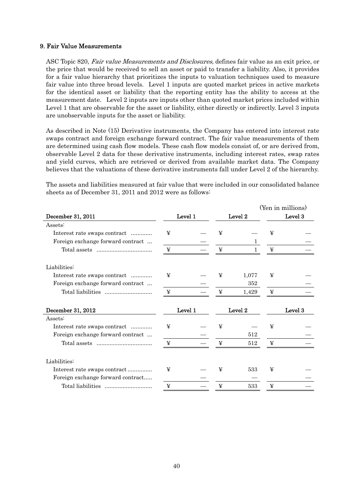#### 9. Fair Value Measurements

ASC Topic 820, Fair value Measurements and Disclosures, defines fair value as an exit price, or the price that would be received to sell an asset or paid to transfer a liability. Also, it provides for a fair value hierarchy that prioritizes the inputs to valuation techniques used to measure fair value into three broad levels. Level 1 inputs are quoted market prices in active markets for the identical asset or liability that the reporting entity has the ability to access at the measurement date. Level 2 inputs are inputs other than quoted market prices included within Level 1 that are observable for the asset or liability, either directly or indirectly. Level 3 inputs are unobservable inputs for the asset or liability.

As described in Note (15) Derivative instruments, the Company has entered into interest rate swaps contract and foreign exchange forward contract. The fair value measurements of them are determined using cash flow models. These cash flow models consist of, or are derived from, observable Level 2 data for these derivative instruments, including interest rates, swap rates and yield curves, which are retrieved or derived from available market data. The Company believes that the valuations of these derivative instruments fall under Level 2 of the hierarchy.

The assets and liabilities measured at fair value that were included in our consolidated balance sheets as of December 31, 2011 and 2012 were as follows:

|   |                    |       | Level 3            |                   |  |
|---|--------------------|-------|--------------------|-------------------|--|
|   |                    |       |                    |                   |  |
| ¥ | ¥                  |       | ¥                  |                   |  |
|   |                    |       |                    |                   |  |
| ¥ | ¥                  |       | ¥                  |                   |  |
|   |                    |       |                    |                   |  |
| ¥ | ¥                  | 1,077 | ¥                  |                   |  |
|   |                    | 352   |                    |                   |  |
| ¥ | ¥                  | 1,429 | ¥                  |                   |  |
|   |                    |       |                    | Level 3           |  |
|   |                    |       |                    |                   |  |
| ¥ | ¥                  |       | ¥                  |                   |  |
|   |                    | 512   |                    |                   |  |
| ¥ | ¥                  | 512   | ¥                  |                   |  |
|   |                    |       |                    |                   |  |
| ¥ | ¥                  | 533   | ¥                  |                   |  |
|   |                    |       |                    |                   |  |
|   |                    |       |                    |                   |  |
|   | Level 1<br>Level 1 |       | Level 2<br>Level 2 | (Yen in millions) |  |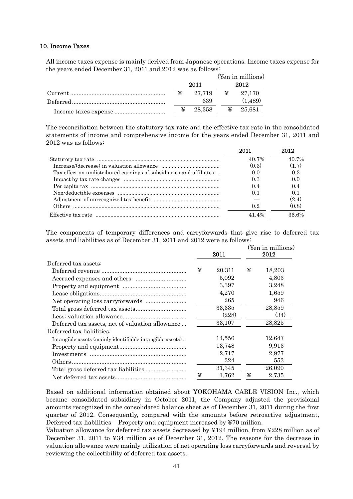#### 10. Income Taxes

All income taxes expense is mainly derived from Japanese operations. Income taxes expense for the years ended December 31, 2011 and 2012 was as follows:

|   |                   |      | (Yen in millions) |  |
|---|-------------------|------|-------------------|--|
|   | 2011              | 2012 |                   |  |
| ¥ | 27.719 \ \ 27.170 |      |                   |  |
|   | 639               |      | (1,489)           |  |
| ¥ |                   |      |                   |  |

The reconciliation between the statutory tax rate and the effective tax rate in the consolidated statements of income and comprehensive income for the years ended December 31, 2011 and 2012 was as follows:

|                                                                      | 2011  | 2012     |
|----------------------------------------------------------------------|-------|----------|
|                                                                      | 40.7% | 40.7%    |
|                                                                      | (0.3) | (1.7)    |
| Tax effect on undistributed earnings of subsidiaries and affiliates. | 0.0   | 0.3      |
|                                                                      | 0.3   | 0.0      |
|                                                                      | 0.4   | 0.4      |
|                                                                      | 0.1   | 0.1      |
|                                                                      |       | (2.4)    |
|                                                                      | 0.2   | (0.8)    |
|                                                                      | 41 4% | $36.6\%$ |

The components of temporary differences and carryforwards that give rise to deferred tax assets and liabilities as of December 31, 2011 and 2012 were as follows:

|                                                           |   | 2011   |   | (Yen in millions)<br>2012 |
|-----------------------------------------------------------|---|--------|---|---------------------------|
| Deferred tax assets:                                      |   |        |   |                           |
|                                                           | ¥ | 20,311 | ¥ | 18,203                    |
|                                                           |   | 5,092  |   | 4,803                     |
|                                                           |   | 3,397  |   | 3,248                     |
|                                                           |   | 4,270  |   | 1,659                     |
|                                                           |   | 265    |   | 946                       |
|                                                           |   | 33,335 |   | 28,859                    |
|                                                           |   | (228)  |   | (34)                      |
| Deferred tax assets, net of valuation allowance           |   | 33,107 |   | 28,825                    |
| Deferred tax liabilities:                                 |   |        |   |                           |
| Intangible assets (mainly identifiable intangible assets) |   | 14,556 |   | 12,647                    |
|                                                           |   | 13,748 |   | 9,913                     |
|                                                           |   | 2,717  |   | 2,977                     |
|                                                           |   | 324    |   | 553                       |
|                                                           |   | 31,345 |   | 26,090                    |
|                                                           | ¥ | 1,762  | ¥ | 2,735                     |

Based on additional information obtained about YOKOHAMA CABLE VISION Inc., which became consolidated subsidiary in October 2011, the Company adjusted the provisional amounts recognized in the consolidated balance sheet as of December 31, 2011 during the first quarter of 2012. Consequently, compared with the amounts before retroactive adjustment, Deferred tax liabilities – Property and equipment increased by ¥70 million.

Valuation allowance for deferred tax assets decreased by ¥194 million, from ¥228 million as of December 31, 2011 to ¥34 million as of December 31, 2012. The reasons for the decrease in valuation allowance were mainly utilization of net operating loss carryforwards and reversal by reviewing the collectibility of deferred tax assets.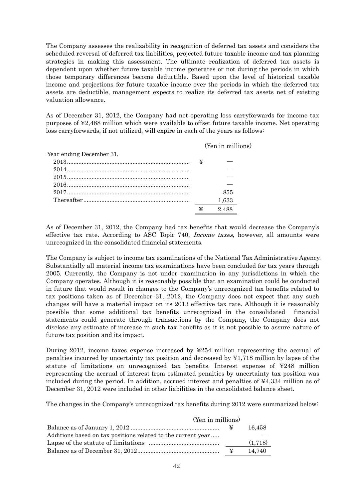The Company assesses the realizability in recognition of deferred tax assets and considers the scheduled reversal of deferred tax liabilities, projected future taxable income and tax planning strategies in making this assessment. The ultimate realization of deferred tax assets is dependent upon whether future taxable income generates or not during the periods in which those temporary differences become deductible. Based upon the level of historical taxable income and projections for future taxable income over the periods in which the deferred tax assets are deductible, management expects to realize its deferred tax assets net of existing valuation allowance.

As of December 31, 2012, the Company had net operating loss carryforwards for income tax purposes of ¥2,488 million which were available to offset future taxable income. Net operating loss carryforwards, if not utilized, will expire in each of the years as follows:

(Yen in millions)

| Year ending December 31, |   |       |
|--------------------------|---|-------|
| $2013$ $\mathbb{Y}$      |   |       |
|                          |   |       |
|                          |   |       |
|                          |   |       |
|                          |   | 855   |
|                          |   | 1,633 |
|                          | ¥ | 2.488 |

As of December 31, 2012, the Company had tax benefits that would decrease the Company's effective tax rate. According to ASC Topic 740, Income taxes, however, all amounts were unrecognized in the consolidated financial statements.

The Company is subject to income tax examinations of the National Tax Administrative Agency. Substantially all material income tax examinations have been concluded for tax years through 2005. Currently, the Company is not under examination in any jurisdictions in which the Company operates. Although it is reasonably possible that an examination could be conducted in future that would result in changes to the Company's unrecognized tax benefits related to tax positions taken as of December 31, 2012, the Company does not expect that any such changes will have a material impact on its 2013 effective tax rate. Although it is reasonably possible that some additional tax benefits unrecognized in the consolidated financial statements could generate through transactions by the Company, the Company does not disclose any estimate of increase in such tax benefits as it is not possible to assure nature of future tax position and its impact.

During 2012, income taxes expense increased by ¥254 million representing the accrual of penalties incurred by uncertainty tax position and decreased by ¥1,718 million by lapse of the statute of limitations on unrecognized tax benefits. Interest expense of ¥248 million representing the accrual of interest from estimated penalties by uncertainty tax position was included during the period. In addition, accrued interest and penalties of ¥4,334 million as of December 31, 2012 were included in other liabilities in the consolidated balance sheet.

The changes in the Company's unrecognized tax benefits during 2012 were summarized below:

| (Yen in millions)                                            |   |         |
|--------------------------------------------------------------|---|---------|
|                                                              |   | 16.458  |
| Additions based on tax positions related to the current year |   |         |
|                                                              |   | (1,718) |
|                                                              | ¥ | 14.740  |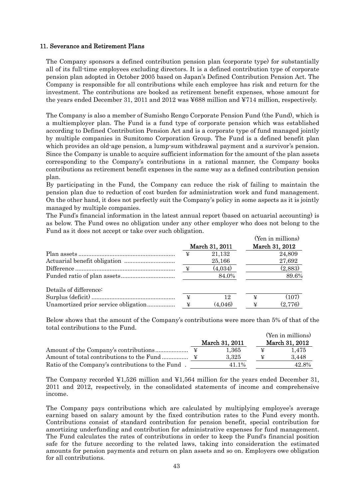#### 11. Severance and Retirement Plans

The Company sponsors a defined contribution pension plan (corporate type) for substantially all of its full-time employees excluding directors. It is a defined contribution type of corporate pension plan adopted in October 2005 based on Japan's Defined Contribution Pension Act. The Company is responsible for all contributions while each employee has risk and return for the investment. The contributions are booked as retirement benefit expenses, whose amount for the years ended December 31, 2011 and 2012 was ¥688 million and ¥714 million, respectively.

The Company is also a member of Sumisho Rengo Corporate Pension Fund (the Fund), which is a multiemployer plan. The Fund is a fund type of corporate pension which was established according to Defined Contribution Pension Act and is a corporate type of fund managed jointly by multiple companies in Sumitomo Corporation Group. The Fund is a defined benefit plan which provides an old-age pension, a lump-sum withdrawal payment and a survivor's pension. Since the Company is unable to acquire sufficient information for the amount of the plan assets corresponding to the Company's contributions in a rational manner, the Company books contributions as retirement benefit expenses in the same way as a defined contribution pension plan.

By participating in the Fund, the Company can reduce the risk of failing to maintain the pension plan due to reduction of cost burden for administration work and fund management. On the other hand, it does not perfectly suit the Company's policy in some aspects as it is jointly managed by multiple companies.

The Fund's financial information in the latest annual report (based on actuarial accounting) is as below. The Fund owes no obligation under any other employer who does not belong to the Fund as it does not accept or take over such obligation.

|                        |                 |                |   | (Yen in millions) |
|------------------------|-----------------|----------------|---|-------------------|
|                        |                 | March 31, 2011 |   | March 31, 2012    |
|                        | ¥               | 21,132         |   | 24,809            |
|                        |                 | 25,166         |   | 27,692            |
|                        | $\mathbf{\Psi}$ | (4,034)        |   | (2,883)           |
|                        |                 | 84.0%          |   | 89.6%             |
| Details of difference: |                 |                |   |                   |
|                        | ¥               | 12             | ¥ | (107)             |
|                        | ¥               | (4,046)        | ¥ | (2,776)           |

Below shows that the amount of the Company's contributions were more than 5% of that of the total contributions to the Fund.

|                                                   |                |   | (Yen in millions) |
|---------------------------------------------------|----------------|---|-------------------|
|                                                   | March 31, 2011 |   | March 31, 2012    |
|                                                   | $1.365\,$      |   | 1.475             |
|                                                   | 3.325          | ¥ | 3.448             |
| Ratio of the Company's contributions to the Fund. | 41.1%          |   | 42.8%             |

The Company recorded  $\yen 1,526$  million and  $\yen 1,564$  million for the years ended December 31, 2011 and 2012, respectively, in the consolidated statements of income and comprehensive income.

The Company pays contributions which are calculated by multiplying employee's average earning based on salary amount by the fixed contribution rates to the Fund every month. Contributions consist of standard contribution for pension benefit, special contribution for amortizing underfunding and contribution for administrative expenses for fund management. The Fund calculates the rates of contributions in order to keep the Fund's financial position safe for the future according to the related laws, taking into consideration the estimated amounts for pension payments and return on plan assets and so on. Employers owe obligation for all contributions.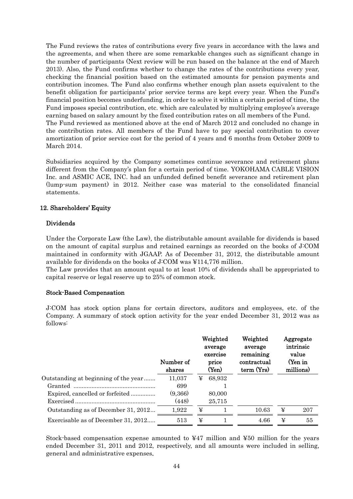The Fund reviews the rates of contributions every five years in accordance with the laws and the agreements, and when there are some remarkable changes such as significant change in the number of participants (Next review will be run based on the balance at the end of March 2013). Also, the Fund confirms whether to change the rates of the contributions every year, checking the financial position based on the estimated amounts for pension payments and contribution incomes. The Fund also confirms whether enough plan assets equivalent to the benefit obligation for participants' prior service terms are kept every year. When the Fund's financial position becomes underfunding, in order to solve it within a certain period of time, the Fund imposes special contribution, etc. which are calculated by multiplying employee's average earning based on salary amount by the fixed contribution rates on all members of the Fund. The Fund reviewed as mentioned above at the end of March 2012 and concluded no change in the contribution rates. All members of the Fund have to pay special contribution to cover amortization of prior service cost for the period of 4 years and 6 months from October 2009 to March 2014.

Subsidiaries acquired by the Company sometimes continue severance and retirement plans different from the Company's plan for a certain period of time. YOKOHAMA CABLE VISION Inc. and ASMIC ACE, INC. had an unfunded defined benefit severance and retirement plan (lump-sum payment) in 2012. Neither case was material to the consolidated financial statements.

#### 12. Shareholders' Equity

#### Dividends

Under the Corporate Law (the Law), the distributable amount available for dividends is based on the amount of capital surplus and retained earnings as recorded on the books of J:COM maintained in conformity with JGAAP. As of December 31, 2012, the distributable amount available for dividends on the books of J:COM was ¥114,776 million.

The Law provides that an amount equal to at least 10% of dividends shall be appropriated to capital reserve or legal reserve up to 25% of common stock.

#### Stock-Based Compensation

J:COM has stock option plans for certain directors, auditors and employees, etc. of the Company. A summary of stock option activity for the year ended December 31, 2012 was as follows:

|                                      | Number of<br>shares |   | Weighted<br>average<br>exercise<br>price<br>(Yen) | Weighted<br>average<br>remaining<br>contractual<br>term (Yrs) |   | Aggregate<br>intrinsic<br>value<br>(Yen in<br>millions) |
|--------------------------------------|---------------------|---|---------------------------------------------------|---------------------------------------------------------------|---|---------------------------------------------------------|
| Outstanding at beginning of the year | 11,037              | ¥ | 68,932                                            |                                                               |   |                                                         |
|                                      | 699                 |   |                                                   |                                                               |   |                                                         |
|                                      | (9,366)             |   | 80,000                                            |                                                               |   |                                                         |
|                                      | (448)               |   | 25,715                                            |                                                               |   |                                                         |
| Outstanding as of December 31, 2012  | 1,922               | ¥ |                                                   | 10.63                                                         | ¥ | 207                                                     |
| Exercisable as of December 31, 2012  | 513                 | ¥ |                                                   | 4.66                                                          | ¥ | 55                                                      |

Stock-based compensation expense amounted to  $\text{\#47}$  million and  $\text{\#50}$  million for the years ended December 31, 2011 and 2012, respectively, and all amounts were included in selling, general and administrative expenses.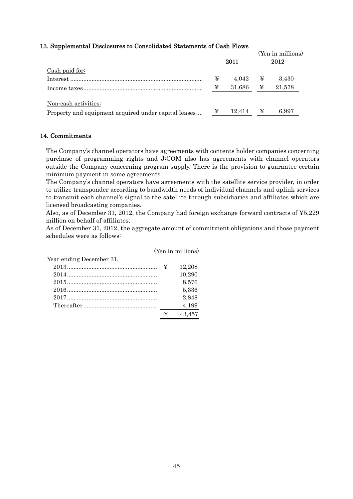#### 13. Supplemental Disclosures to Consolidated Statements of Cash Flows

|                                                      |   | 2011   |   | (Yen in millions)<br>2012 |
|------------------------------------------------------|---|--------|---|---------------------------|
| Cash paid for:                                       |   |        |   |                           |
|                                                      | ¥ | 4.042  | ¥ | 3.430                     |
|                                                      | ¥ | 31.686 | ¥ | 21,578                    |
| Non-cash activities:                                 |   |        |   |                           |
| Property and equipment acquired under capital leases | ¥ | 12.414 | ¥ | 6.997                     |

#### 14. Commitments

The Company's channel operators have agreements with contents holder companies concerning purchase of programming rights and J:COM also has agreements with channel operators outside the Company concerning program supply. There is the provision to guarantee certain minimum payment in some agreements.

The Company's channel operators have agreements with the satellite service provider, in order to utilize transponder according to bandwidth needs of individual channels and uplink services to transmit each channel's signal to the satellite through subsidiaries and affiliates which are licensed broadcasting companies.

Also, as of December 31, 2012, the Company had foreign exchange forward contracts of ¥5,229 million on behalf of affiliates.

As of December 31, 2012, the aggregate amount of commitment obligations and those payment schedules were as follows:

|                          |   | (Yen in millions) |
|--------------------------|---|-------------------|
| Year ending December 31, |   |                   |
|                          |   | 12,208            |
|                          |   | 10,290            |
|                          |   | 8,576             |
|                          |   | 5,336             |
|                          |   | 2,848             |
|                          |   | 4,199             |
|                          | ¥ | 43.457            |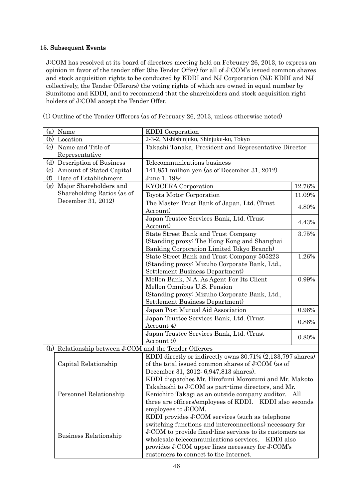#### 15. Subsequent Events

J:COM has resolved at its board of directors meeting held on February 26, 2013, to express an opinion in favor of the tender offer (the Tender Offer) for all of J:COM's issued common shares and stock acquisition rights to be conducted by KDDI and NJ Corporation (NJ; KDDI and NJ collectively, the Tender Offerors) the voting rights of which are owned in equal number by Sumitomo and KDDI, and to recommend that the shareholders and stock acquisition right holders of J:COM accept the Tender Offer.

| (1) Outline of the Tender Offerors (as of February 26, 2013, unless otherwise noted) |  |  |
|--------------------------------------------------------------------------------------|--|--|
|--------------------------------------------------------------------------------------|--|--|

|          | (a) Name                                               | KDDI Corporation                                                                                           |        |
|----------|--------------------------------------------------------|------------------------------------------------------------------------------------------------------------|--------|
|          | (b) Location                                           | 2-3-2, Nishishinjuku, Shinjuku-ku, Tokyo                                                                   |        |
| $\rm(c)$ | Name and Title of                                      | Takashi Tanaka, President and Representative Director                                                      |        |
|          | Representative                                         |                                                                                                            |        |
| (d)      | Description of Business                                | Telecommunications business                                                                                |        |
| (e)      | Amount of Stated Capital                               | 141,851 million yen (as of December 31, 2012)                                                              |        |
| (f)      | Date of Establishment                                  | June 1, 1984                                                                                               |        |
| (g)      | Major Shareholders and                                 | <b>KYOCERA</b> Corporation                                                                                 | 12.76% |
|          | Shareholding Ratios (as of                             | Toyota Motor Corporation                                                                                   | 11.09% |
|          | December 31, 2012)                                     | The Master Trust Bank of Japan, Ltd. (Trust                                                                |        |
|          |                                                        | Account)                                                                                                   | 4.80%  |
|          |                                                        | Japan Trustee Services Bank, Ltd. (Trust                                                                   |        |
|          |                                                        | Account)                                                                                                   | 4.43%  |
|          |                                                        | State Street Bank and Trust Company                                                                        | 3.75%  |
|          |                                                        | (Standing proxy: The Hong Kong and Shanghai                                                                |        |
|          |                                                        | Banking Corporation Limited Tokyo Branch)                                                                  |        |
|          |                                                        | State Street Bank and Trust Company 505223                                                                 | 1.26%  |
|          |                                                        | (Standing proxy: Mizuho Corporate Bank, Ltd.,                                                              |        |
|          |                                                        | Settlement Business Department)                                                                            |        |
|          |                                                        | Mellon Bank, N.A. As Agent For Its Client                                                                  | 0.99%  |
|          |                                                        | Mellon Omnibus U.S. Pension                                                                                |        |
|          |                                                        | (Standing proxy: Mizuho Corporate Bank, Ltd.,                                                              |        |
|          |                                                        | Settlement Business Department                                                                             |        |
|          |                                                        | Japan Post Mutual Aid Association                                                                          | 0.96%  |
|          |                                                        | Japan Trustee Services Bank, Ltd. (Trust                                                                   | 0.86%  |
|          |                                                        | Account 4)                                                                                                 |        |
|          |                                                        | Japan Trustee Services Bank, Ltd. (Trust                                                                   | 0.80%  |
|          |                                                        | Account 9)                                                                                                 |        |
|          | (h) Relationship between J:COM and the Tender Offerors |                                                                                                            |        |
|          |                                                        | KDDI directly or indirectly owns 30.71% (2,133,797 shares)                                                 |        |
|          | Capital Relationship                                   | of the total issued common shares of J:COM (as of                                                          |        |
|          |                                                        | December 31, 2012: 6,947,813 shares).                                                                      |        |
|          |                                                        | KDDI dispatches Mr. Hirofumi Morozumi and Mr. Makoto<br>Takahashi to J:COM as part-time directors, and Mr. |        |
|          | Personnel Relationship                                 | Kenichiro Takagi as an outside company auditor. All                                                        |        |
|          |                                                        | three are officers/employees of KDDI. KDDI also seconds                                                    |        |
|          |                                                        | employees to J:COM.                                                                                        |        |
|          |                                                        | KDDI provides J:COM services (such as telephone                                                            |        |
|          |                                                        | switching functions and interconnections) necessary for                                                    |        |
|          |                                                        | J:COM to provide fixed-line services to its customers as                                                   |        |
|          | Business Relationship                                  | wholesale telecommunications services. KDDI also                                                           |        |
|          |                                                        | provides J:COM upper lines necessary for J:COM's                                                           |        |
|          |                                                        | customers to connect to the Internet.                                                                      |        |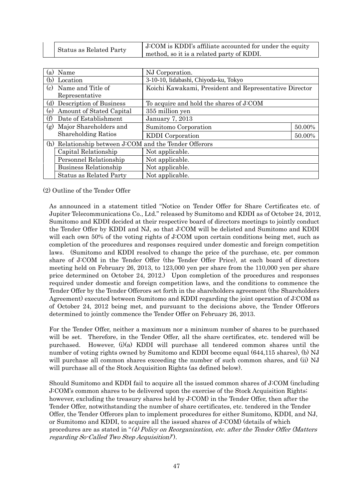| Status as Related Party | J:COM is KDDI's affiliate accounted for under the equity |
|-------------------------|----------------------------------------------------------|
|                         | method, so it is a related party of KDDI.                |

| (a) | Name                                                   | NJ Corporation.                                        |        |
|-----|--------------------------------------------------------|--------------------------------------------------------|--------|
| (b) | Location                                               | 3-10-10, Iidabashi, Chiyoda-ku, Tokyo                  |        |
| (c) | Name and Title of                                      | Koichi Kawakami, President and Representative Director |        |
|     | Representative                                         |                                                        |        |
| (d) | Description of Business                                | To acquire and hold the shares of J:COM                |        |
| (e) | Amount of Stated Capital                               | 355 million yen                                        |        |
| (f) | Date of Establishment                                  | January 7, 2013                                        |        |
| (g) | Major Shareholders and                                 | Sumitomo Corporation                                   | 50.00% |
|     | <b>Shareholding Ratios</b>                             | <b>KDDI</b> Corporation                                | 50.00% |
|     | (h) Relationship between J:COM and the Tender Offerors |                                                        |        |
|     | Capital Relationship                                   | Not applicable.                                        |        |
|     | Personnel Relationship                                 | Not applicable.                                        |        |
|     | Business Relationship                                  | Not applicable.                                        |        |
|     | <b>Status as Related Party</b>                         | Not applicable.                                        |        |

(2) Outline of the Tender Offer

As announced in a statement titled "Notice on Tender Offer for Share Certificates etc. of Jupiter Telecommunications Co., Ltd." released by Sumitomo and KDDI as of October 24, 2012, Sumitomo and KDDI decided at their respective board of directors meetings to jointly conduct the Tender Offer by KDDI and NJ, so that J:COM will be delisted and Sumitomo and KDDI will each own 50% of the voting rights of J:COM upon certain conditions being met, such as completion of the procedures and responses required under domestic and foreign competition laws. (Sumitomo and KDDI resolved to change the price of the purchase, etc. per common share of J:COM in the Tender Offer (the Tender Offer Price), at each board of directors meeting held on February 26, 2013, to 123,000 yen per share from the 110,000 yen per share price determined on October 24, 2012.) Upon completion of the procedures and responses required under domestic and foreign competition laws, and the conditions to commence the Tender Offer by the Tender Offerors set forth in the shareholders agreement (the Shareholders Agreement) executed between Sumitomo and KDDI regarding the joint operation of J:COM as of October 24, 2012 being met, and pursuant to the decisions above, the Tender Offerors determined to jointly commence the Tender Offer on February 26, 2013.

For the Tender Offer, neither a maximum nor a minimum number of shares to be purchased will be set. Therefore, in the Tender Offer, all the share certificates, etc. tendered will be purchased. However, (i)(a) KDDI will purchase all tendered common shares until the number of voting rights owned by Sumitomo and KDDI become equal (644,115 shares), (b) NJ will purchase all common shares exceeding the number of such common shares, and (ii) NJ will purchase all of the Stock Acquisition Rights (as defined below).

Should Sumitomo and KDDI fail to acquire all the issued common shares of J:COM (including J:COM's common shares to be delivered upon the exercise of the Stock Acquisition Rights; however, excluding the treasury shares held by J:COM) in the Tender Offer, then after the Tender Offer, notwithstanding the number of share certificates, etc. tendered in the Tender Offer, the Tender Offerors plan to implement procedures for either Sumitomo, KDDI, and NJ, or Sumitomo and KDDI, to acquire all the issued shares of J:COM) (details of which procedures are as stated in "(4) Policy on Reorganization, etc. after the Tender Offer (Matters regarding So-Called Two Step Acquisition)").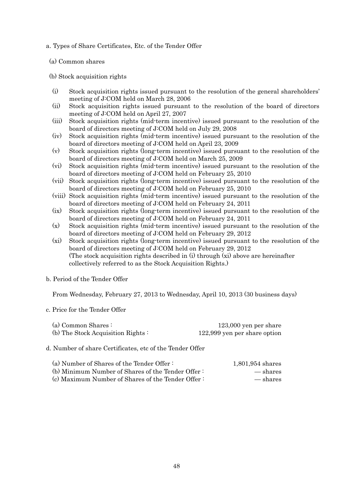a. Types of Share Certificates, Etc. of the Tender Offer

(a) Common shares

(b) Stock acquisition rights

- (i) Stock acquisition rights issued pursuant to the resolution of the general shareholders' meeting of J:COM held on March 28, 2006
- (ii) Stock acquisition rights issued pursuant to the resolution of the board of directors meeting of J:COM held on April 27, 2007
- (iii) Stock acquisition rights (mid-term incentive) issued pursuant to the resolution of the board of directors meeting of J:COM held on July 29, 2008
- (iv) Stock acquisition rights (mid-term incentive) issued pursuant to the resolution of the board of directors meeting of J:COM held on April 23, 2009
- (v) Stock acquisition rights (long-term incentive) issued pursuant to the resolution of the board of directors meeting of J:COM held on March 25, 2009
- (vi) Stock acquisition rights (mid-term incentive) issued pursuant to the resolution of the board of directors meeting of J:COM held on February 25, 2010
- (vii) Stock acquisition rights (long-term incentive) issued pursuant to the resolution of the board of directors meeting of J:COM held on February 25, 2010
- (viii) Stock acquisition rights (mid-term incentive) issued pursuant to the resolution of the board of directors meeting of J:COM held on February 24, 2011
- (ix) Stock acquisition rights (long-term incentive) issued pursuant to the resolution of the board of directors meeting of J:COM held on February 24, 2011
- (x) Stock acquisition rights (mid-term incentive) issued pursuant to the resolution of the board of directors meeting of J:COM held on February 29, 2012
- (xi) Stock acquisition rights (long-term incentive) issued pursuant to the resolution of the board of directors meeting of J:COM held on February 29, 2012 (The stock acquisition rights described in (i) through (xi) above are hereinafter collectively referred to as the Stock Acquisition Rights.)
- b. Period of the Tender Offer

From Wednesday, February 27, 2013 to Wednesday, April 10, 2013 (30 business days)

c. Price for the Tender Offer

| (a) Common Shares:                | $123,000$ yen per share      |
|-----------------------------------|------------------------------|
| (b) The Stock Acquisition Rights: | 122,999 yen per share option |

d. Number of share Certificates, etc of the Tender Offer

| (a) Number of Shares of the Tender Offer:         | 1,801,954 shares |
|---------------------------------------------------|------------------|
| (b) Minimum Number of Shares of the Tender Offer: | — shares         |
| (c) Maximum Number of Shares of the Tender Offer: | — shares         |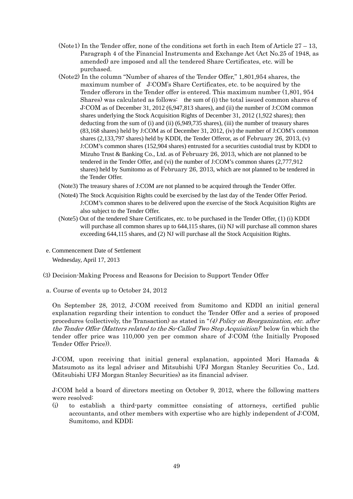- (Note1) In the Tender offer, none of the conditions set forth in each Item of Article  $27 13$ , Paragraph 4 of the Financial Instruments and Exchange Act (Act No.25 of 1948, as amended) are imposed and all the tendered Share Certificates, etc. will be purchased.
- (Note2) In the column "Number of shares of the Tender Offer," 1,801,954 shares, the maximum number of J:COM's Share Certificates, etc. to be acquired by the Tender offerors in the Tender offer is entered. This maximum number (1,801, 954 Shares) was calculated as follows: the sum of (i) the total issued common shares of J:COM as of December 31, 2012 (6,947,813 shares), and (ii) the number of J:COM common shares underlying the Stock Acquisition Rights of December 31, 2012 (1,922 shares); then deducting from the sum of (i) and (ii) (6,949,735 shares), (iii) the number of treasury shares (83,168 shares) held by J:COM as of December 31, 2012, (iv) the number of J:COM's common shares (2,133,797 shares) held by KDDI, the Tender Offeror, as of February 26, 2013, (v) J:COM's common shares (152,904 shares) entrusted for a securities custodial trust by KDDI to Mizuho Trust & Banking Co., Ltd. as of February 26, 2013, which are not planned to be tendered in the Tender Offer, and (vi) the number of J:COM's common shares (2,777,912 shares) held by Sumitomo as of February 26, 2013, which are not planned to be tendered in the Tender Offer.
- (Note3) The treasury shares of J:COM are not planned to be acquired through the Tender Offer.
- (Note4) The Stock Acquisition Rights could be exercised by the last day of the Tender Offer Period. J:COM's common shares to be delivered upon the exercise of the Stock Acquisition Rights are also subject to the Tender Offer.
- (Note5) Out of the tendered Share Certificates, etc. to be purchased in the Tender Offer, (1) (i) KDDI will purchase all common shares up to 644,115 shares, (ii) NJ will purchase all common shares exceeding 644,115 shares, and (2) NJ will purchase all the Stock Acquisition Rights.
- e. Commencement Date of Settlement Wednesday, April 17, 2013
- (3) Decision-Making Process and Reasons for Decision to Support Tender Offer
- a. Course of events up to October 24, 2012

On September 28, 2012, J:COM received from Sumitomo and KDDI an initial general explanation regarding their intention to conduct the Tender Offer and a series of proposed procedures (collectively, the Transaction) as stated in "(4) Policy on Reorganization, etc. after the Tender Offer (Matters related to the So-Called Two Step Acquisition)' below (in which the tender offer price was 110,000 yen per common share of J:COM (the Initially Proposed Tender Offer Price)).

J:COM, upon receiving that initial general explanation, appointed Mori Hamada & Matsumoto as its legal adviser and Mitsubishi UFJ Morgan Stanley Securities Co., Ltd. (Mitsubishi UFJ Morgan Stanley Securities) as its financial adviser.

J:COM held a board of directors meeting on October 9, 2012, where the following matters were resolved:

(i) to establish a third-party committee consisting of attorneys, certified public accountants, and other members with expertise who are highly independent of J:COM, Sumitomo, and KDDI;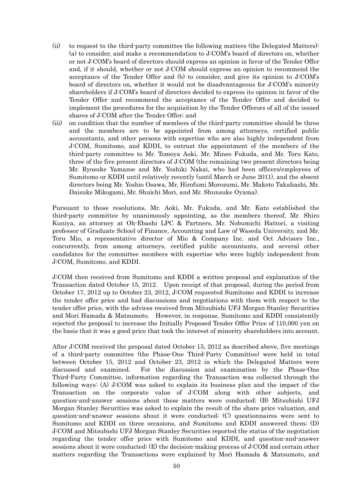- (ii) to request to the third-party committee the following matters (the Delegated Matters): (a) to consider, and make a recommendation to J:COM's board of directors on, whether or not J:COM's board of directors should express an opinion in favor of the Tender Offer and, if it should, whether or not J:COM should express an opinion to recommend the acceptance of the Tender Offer and (b) to consider, and give its opinion to J:COM's board of directors on, whether it would not be disadvantageous for J:COM's minority shareholders if J:COM's board of directors decided to express its opinion in favor of the Tender Offer and recommend the acceptance of the Tender Offer and decided to implement the procedures for the acquisition by the Tender Offerors of all of the issued shares of J:COM after the Tender Offer; and
- (iii) on condition that the number of members of the third-party committee should be three and the members are to be appointed from among attorneys, certified public accountants, and other persons with expertise who are also highly independent from J:COM, Sumitomo, and KDDI, to entrust the appointment of the members of the third-party committee to Mr. Tomoya Aoki, Mr. Mineo Fukuda, and Mr. Toru Kato, three of the five present directors of J:COM (the remaining two present directors being Mr. Ryosuke Yamazoe and Mr. Yoshiki Nakai, who had been officers/employees of Sumitomo or KDDI until relatively recently (until March or June 2011), and the absent directors being Mr. Yoshio Osawa, Mr. Hirofumi Morozumi, Mr. Makoto Takahashi, Mr. Daisuke Mikogami, Mr. Shuichi Mori, and Mr. Shunsuke Oyama).

Pursuant to those resolutions, Mr. Aoki, Mr. Fukuda, and Mr. Kato established the third-party committee by unanimously appointing, as the members thereof, Mr. Shiro Kuniya, an attorney at Oh-Ebashi LPC & Partners, Mr. Nobumichi Hattori, a visiting professor of Graduate School of Finance, Accounting and Law of Waseda University, and Mr. Toru Mio, a representative director of Mio & Company Inc. and Oct Advisors Inc., concurrently, from among attorneys, certified public accountants, and several other candidates for the committee members with expertise who were highly independent from J:COM, Sumitomo, and KDDI.

J:COM then received from Sumitomo and KDDI a written proposal and explanation of the Transaction dated October 15, 2012. Upon receipt of that proposal, during the period from October 17, 2012 up to October 23, 2012, J:COM requested Sumitomo and KDDI to increase the tender offer price and had discussions and negotiations with them with respect to the tender offer price, with the advices received from Mitsubishi UFJ Morgan Stanley Securities and Mori Hamada & Matsumoto. However, in response, Sumitomo and KDDI consistently rejected the proposal to increase the Initially Proposed Tender Offer Price of 110,000 yen on the basis that it was a good price that took the interest of minority shareholders into account.

After J:COM received the proposal dated October 15, 2012 as described above, five meetings of a third-party committee (the Phase-One Third-Party Committee) were held in total between October 15, 2012 and October 23, 2012 in which the Delegated Matters were discussed and examined. For the discussion and examination by the Phase-One Third-Party Committee, information regarding the Transaction was collected through the following ways: (A) J:COM was asked to explain its business plan and the impact of the Transaction on the corporate value of J:COM along with other subjects, and question-and-answer sessions about these matters were conducted; (B) Mitsubishi UFJ Morgan Stanley Securities was asked to explain the result of the share price valuation, and question-and-answer sessions about it were conducted; (C) questionnaires were sent to Sumitomo and KDDI on three occasions, and Sumitomo and KDDI answered them; (D) J:COM and Mitsubishi UFJ Morgan Stanley Securities reported the status of the negotiation regarding the tender offer price with Sumitomo and KDDI, and question-and-answer sessions about it were conducted; (E) the decision-making process of J:COM and certain other matters regarding the Transactions were explained by Mori Hamada & Matsumoto, and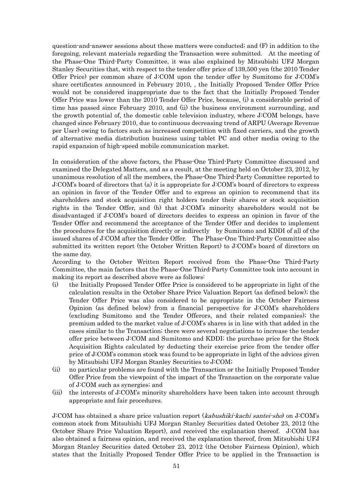question-and-answer sessions about these matters were conducted; and (F) in addition to the foregoing, relevant materials regarding the Transaction were submitted. At the meeting of the Phase-One Third-Party Committee, it was also explained by Mitsubishi UFJ Morgan Stanley Securities that, with respect to the tender offer price of 139,500 yen (the 2010 Tender Offer Price) per common share of J:COM upon the tender offer by Sumitomo for J:COM's share certificates announced in February 2010, , the Initially Proposed Tender Offer Price would not be considered inappropriate due to the fact that the Initially Proposed Tender Offer Price was lower than the 2010 Tender Offer Price, because, (i) a considerable period of time has passed since February 2010, and (ii) the business environment surrounding, and the growth potential of, the domestic cable television industry, where J:COM belongs, have changed since February 2010, due to continuous decreasing trend of ARPU (Average Revenue per User) owing to factors such as increased competition with fixed carriers, and the growth of alternative media distribution business using tablet PC and other media owing to the rapid expansion of high-speed mobile communication market.

In consideration of the above factors, the Phase-One Third-Party Committee discussed and examined the Delegated Matters, and as a result, at the meeting held on October 23, 2012, by unanimous resolution of all the members, the Phase-One Third-Party Committee reported to J:COM's board of directors that (a) it is appropriate for J:COM's board of directors to express an opinion in favor of the Tender Offer and to express an opinion to recommend that its shareholders and stock acquisition right holders tender their shares or stock acquisition rights in the Tender Offer, and (b) that J:COM's minority shareholders would not be disadvantaged if J:COM's board of directors decides to express an opinion in favor of the Tender Offer and recommend the acceptance of the Tender Offer and decides to implement the procedures for the acquisition directly or indirectly by Sumitomo and KDDI of all of the issued shares of J:COM after the Tender Offer. The Phase-One Third-Party Committee also submitted its written report (the October Written Report) to J:COM's board of directors on the same day.

According to the October Written Report received from the Phase-One Third-Party Committee, the main factors that the Phase-One Third-Party Committee took into account in making its report as described above were as follows:

- (i) the Initially Proposed Tender Offer Price is considered to be appropriate in light of the calculation results in the October Share Price Valuation Report (as defined below); the Tender Offer Price was also considered to be appropriate in the October Fairness Opinion (as defined below) from a financial perspective for J:COM's shareholders (excluding Sumitomo and the Tender Offerors, and their related companies); the premium added to the market value of J:COM's shares is in line with that added in the cases similar to the Transaction; there were several negotiations to increase the tender offer price between J:COM and Sumitomo and KDDI; the purchase price for the Stock Acquisition Rights calculated by deducting their exercise price from the tender offer price of J:COM's common stock was found to be appropriate in light of the advices given by Mitsubishi UFJ Morgan Stanley Securities to J:COM;
- (ii) no particular problems are found with the Transaction or the Initially Proposed Tender Offer Price from the viewpoint of the impact of the Transaction on the corporate value of J:COM such as synergies; and
- (iii) the interests of J:COM's minority shareholders have been taken into account through appropriate and fair procedures.

J:COM has obtained a share price valuation report (kabushiki-kachi santei-sho) on J:COM's common stock from Mitsubishi UFJ Morgan Stanley Securities dated October 23, 2012 (the October Share Price Valuation Report), and received the explanation thereof. J:COM has also obtained a fairness opinion, and received the explanation thereof, from Mitsubishi UFJ Morgan Stanley Securities dated October 23, 2012 (the October Fairness Opinion), which states that the Initially Proposed Tender Offer Price to be applied in the Transaction is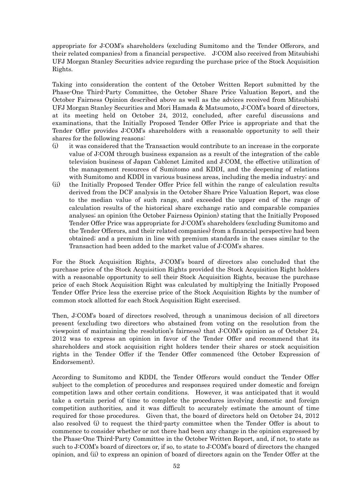appropriate for J:COM's shareholders (excluding Sumitomo and the Tender Offerors, and their related companies) from a financial perspective. J:COM also received from Mitsubishi UFJ Morgan Stanley Securities advice regarding the purchase price of the Stock Acquisition Rights.

Taking into consideration the content of the October Written Report submitted by the Phase-One Third-Party Committee, the October Share Price Valuation Report, and the October Fairness Opinion described above as well as the advices received from Mitsubishi UFJ Morgan Stanley Securities and Mori Hamada & Matsumoto, J:COM's board of directors, at its meeting held on October 24, 2012, concluded, after careful discussions and examinations, that the Initially Proposed Tender Offer Price is appropriate and that the Tender Offer provides J:COM's shareholders with a reasonable opportunity to sell their shares for the following reasons:

- (i) it was considered that the Transaction would contribute to an increase in the corporate value of J:COM through business expansion as a result of the integration of the cable television business of Japan Cablenet Limited and J:COM, the effective utilization of the management resources of Sumitomo and KDDI, and the deepening of relations with Sumitomo and KDDI in various business areas, including the media industry; and
- (ii) the Initially Proposed Tender Offer Price fell within the range of calculation results derived from the DCF analysis in the October Share Price Valuation Report, was close to the median value of such range, and exceeded the upper end of the range of calculation results of the historical share exchange ratio and comparable companies analyses; an opinion (the October Fairness Opinion) stating that the Initially Proposed Tender Offer Price was appropriate for J:COM's shareholders (excluding Sumitomo and the Tender Offerors, and their related companies) from a financial perspective had been obtained; and a premium in line with premium standards in the cases similar to the Transaction had been added to the market value of J:COM's shares.

For the Stock Acquisition Rights, J:COM's board of directors also concluded that the purchase price of the Stock Acquisition Rights provided the Stock Acquisition Right holders with a reasonable opportunity to sell their Stock Acquisition Rights, because the purchase price of each Stock Acquisition Right was calculated by multiplying the Initially Proposed Tender Offer Price less the exercise price of the Stock Acquisition Rights by the number of common stock allotted for each Stock Acquisition Right exercised.

Then, J:COM's board of directors resolved, through a unanimous decision of all directors present (excluding two directors who abstained from voting on the resolution from the viewpoint of maintaining the resolution's fairness) that J:COM's opinion as of October 24, 2012 was to express an opinion in favor of the Tender Offer and recommend that its shareholders and stock acquisition right holders tender their shares or stock acquisition rights in the Tender Offer if the Tender Offer commenced (the October Expression of Endorsement).

According to Sumitomo and KDDI, the Tender Offerors would conduct the Tender Offer subject to the completion of procedures and responses required under domestic and foreign competition laws and other certain conditions. However, it was anticipated that it would take a certain period of time to complete the procedures involving domestic and foreign competition authorities, and it was difficult to accurately estimate the amount of time required for those procedures. Given that, the board of directors held on October 24, 2012 also resolved (i) to request the third-party committee when the Tender Offer is about to commence to consider whether or not there had been any change in the opinion expressed by the Phase-One Third-Party Committee in the October Written Report, and, if not, to state as such to J:COM's board of directors or, if so, to state to J:COM's board of directors the changed opinion, and (ii) to express an opinion of board of directors again on the Tender Offer at the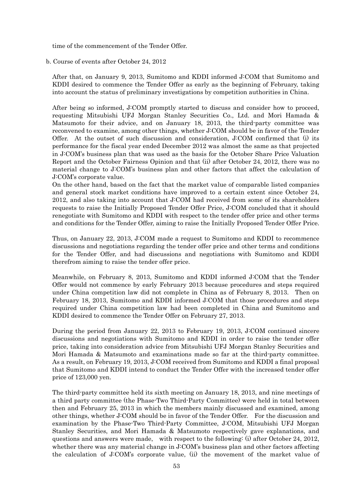time of the commencement of the Tender Offer.

#### b. Course of events after October 24, 2012

After that, on January 9, 2013, Sumitomo and KDDI informed J:COM that Sumitomo and KDDI desired to commence the Tender Offer as early as the beginning of February, taking into account the status of preliminary investigations by competition authorities in China.

After being so informed, J:COM promptly started to discuss and consider how to proceed, requesting Mitsubishi UFJ Morgan Stanley Securities Co., Ltd. and Mori Hamada & Matsumoto for their advice, and on January 18, 2013, the third-party committee was reconvened to examine, among other things, whether J:COM should be in favor of the Tender Offer. At the outset of such discussion and consideration, J:COM confirmed that (i) its performance for the fiscal year ended December 2012 was almost the same as that projected in J:COM's business plan that was used as the basis for the October Share Price Valuation Report and the October Fairness Opinion and that (ii) after October 24, 2012, there was no material change to J:COM's business plan and other factors that affect the calculation of J:COM's corporate value.

On the other hand, based on the fact that the market value of comparable listed companies and general stock market conditions have improved to a certain extent since October 24, 2012, and also taking into account that J:COM had received from some of its shareholders requests to raise the Initially Proposed Tender Offer Price, J:COM concluded that it should renegotiate with Sumitomo and KDDI with respect to the tender offer price and other terms and conditions for the Tender Offer, aiming to raise the Initially Proposed Tender Offer Price.

Thus, on January 22, 2013, J:COM made a request to Sumitomo and KDDI to recommence discussions and negotiations regarding the tender offer price and other terms and conditions for the Tender Offer, and had discussions and negotiations with Sumitomo and KDDI therefrom aiming to raise the tender offer price.

Meanwhile, on February 8, 2013, Sumitomo and KDDI informed J:COM that the Tender Offer would not commence by early February 2013 because procedures and steps required under China competition law did not complete in China as of February 8, 2013. Then on February 18, 2013, Sumitomo and KDDI informed J:COM that those procedures and steps required under China competition law had been completed in China and Sumitomo and KDDI desired to commence the Tender Offer on February 27, 2013.

During the period from January 22, 2013 to February 19, 2013, J:COM continued sincere discussions and negotiations with Sumitomo and KDDI in order to raise the tender offer price, taking into consideration advice from Mitsubishi UFJ Morgan Stanley Securities and Mori Hamada & Matsumoto and examinations made so far at the third-party committee. As a result, on February 19, 2013, J:COM received from Sumitomo and KDDI a final proposal that Sumitomo and KDDI intend to conduct the Tender Offer with the increased tender offer price of 123,000 yen.

The third-party committee held its sixth meeting on January 18, 2013, and nine meetings of a third party committee (the Phase-Two Third-Party Committee) were held in total between then and February 25, 2013 in which the members mainly discussed and examined, among other things, whether J:COM should be in favor of the Tender Offer. For the discussion and examination by the Phase-Two Third-Party Committee, J:COM, Mitsubishi UFJ Morgan Stanley Securities, and Mori Hamada & Matsumoto respectively gave explanations, and questions and answers were made, with respect to the following: (i) after October 24, 2012, whether there was any material change in J:COM's business plan and other factors affecting the calculation of J:COM's corporate value, (ii) the movement of the market value of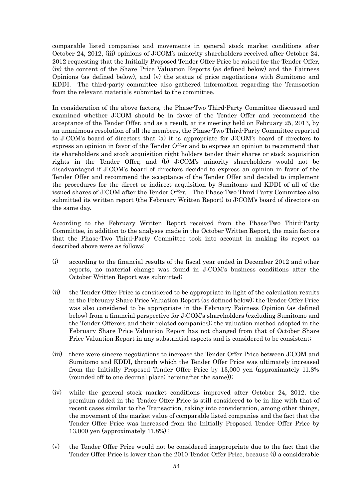comparable listed companies and movements in general stock market conditions after October 24, 2012, (iii) opinions of J:COM's minority shareholders received after October 24, 2012 requesting that the Initially Proposed Tender Offer Price be raised for the Tender Offer, (iv) the content of the Share Price Valuation Reports (as defined below) and the Fairness Opinions (as defined below), and (v) the status of price negotiations with Sumitomo and KDDI. The third-party committee also gathered information regarding the Transaction from the relevant materials submitted to the committee.

In consideration of the above factors, the Phase-Two Third-Party Committee discussed and examined whether J:COM should be in favor of the Tender Offer and recommend the acceptance of the Tender Offer, and as a result, at its meeting held on February 25, 2013, by an unanimous resolution of all the members, the Phase-Two Third-Party Committee reported to J:COM's board of directors that (a) it is appropriate for J:COM's board of directors to express an opinion in favor of the Tender Offer and to express an opinion to recommend that its shareholders and stock acquisition right holders tender their shares or stock acquisition rights in the Tender Offer, and (b) J:COM's minority shareholders would not be disadvantaged if J:COM's board of directors decided to express an opinion in favor of the Tender Offer and recommend the acceptance of the Tender Offer and decided to implement the procedures for the direct or indirect acquisition by Sumitomo and KDDI of all of the issued shares of J:COM after the Tender Offer. The Phase-Two Third-Party Committee also submitted its written report (the February Written Report) to J:COM's board of directors on the same day.

According to the February Written Report received from the Phase-Two Third-Party Committee, in addition to the analyses made in the October Written Report, the main factors that the Phase-Two Third-Party Committee took into account in making its report as described above were as follows:

- (i) according to the financial results of the fiscal year ended in December 2012 and other reports, no material change was found in J:COM's business conditions after the October Written Report was submitted;
- (ii) the Tender Offer Price is considered to be appropriate in light of the calculation results in the February Share Price Valuation Report (as defined below); the Tender Offer Price was also considered to be appropriate in the February Fairness Opinion (as defined below) from a financial perspective for J:COM's shareholders (excluding Sumitomo and the Tender Offerors and their related companies); the valuation method adopted in the February Share Price Valuation Report has not changed from that of October Share Price Valuation Report in any substantial aspects and is considered to be consistent;
- (iii) there were sincere negotiations to increase the Tender Offer Price between J:COM and Sumitomo and KDDI, through which the Tender Offer Price was ultimately increased from the Initially Proposed Tender Offer Price by 13,000 yen (approximately 11.8% (rounded off to one decimal place; hereinafter the same));
- (iv) while the general stock market conditions improved after October 24, 2012, the premium added in the Tender Offer Price is still considered to be in line with that of recent cases similar to the Transaction, taking into consideration, among other things, the movement of the market value of comparable listed companies and the fact that the Tender Offer Price was increased from the Initially Proposed Tender Offer Price by 13,000 yen (approximately 11.8%) ;
- (v) the Tender Offer Price would not be considered inappropriate due to the fact that the Tender Offer Price is lower than the 2010 Tender Offer Price, because (i) a considerable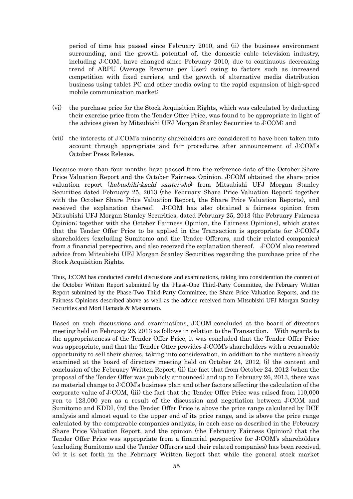period of time has passed since February 2010, and (ii) the business environment surrounding, and the growth potential of, the domestic cable television industry, including J:COM, have changed since February 2010, due to continuous decreasing trend of ARPU (Average Revenue per User) owing to factors such as increased competition with fixed carriers, and the growth of alternative media distribution business using tablet PC and other media owing to the rapid expansion of high-speed mobile communication market;

- (vi) the purchase price for the Stock Acquisition Rights, which was calculated by deducting their exercise price from the Tender Offer Price, was found to be appropriate in light of the advices given by Mitsubishi UFJ Morgan Stanley Securities to J:COM; and
- (vii) the interests of J:COM's minority shareholders are considered to have been taken into account through appropriate and fair procedures after announcement of J:COM's October Press Release.

Because more than four months have passed from the reference date of the October Share Price Valuation Report and the October Fairness Opinion, J:COM obtained the share price valuation report (kabushiki-kachi santei-sho) from Mitsubishi UFJ Morgan Stanley Securities dated February 25, 2013 (the February Share Price Valuation Report; together with the October Share Price Valuation Report, the Share Price Valuation Reports), and received the explanation thereof. J:COM has also obtained a fairness opinion from Mitsubishi UFJ Morgan Stanley Securities, dated February 25, 2013 (the February Fairness Opinion; together with the October Fairness Opinion, the Fairness Opinions), which states that the Tender Offer Price to be applied in the Transaction is appropriate for J:COM's shareholders (excluding Sumitomo and the Tender Offerors, and their related companies) from a financial perspective, and also received the explanation thereof. J:COM also received advice from Mitsubishi UFJ Morgan Stanley Securities regarding the purchase price of the Stock Acquisition Rights.

Thus, J:COM has conducted careful discussions and examinations, taking into consideration the content of the October Written Report submitted by the Phase-One Third-Party Committee, the February Written Report submitted by the Phase-Two Third-Party Committee, the Share Price Valuation Reports, and the Fairness Opinions described above as well as the advice received from Mitsubishi UFJ Morgan Stanley Securities and Mori Hamada & Matsumoto.

Based on such discussions and examinations, J:COM concluded at the board of directors meeting held on February 26, 2013 as follows in relation to the Transaction. With regards to the appropriateness of the Tender Offer Price, it was concluded that the Tender Offer Price was appropriate, and that the Tender Offer provides J:COM's shareholders with a reasonable opportunity to sell their shares, taking into consideration, in addition to the matters already examined at the board of directors meeting held on October 24, 2012, (i) the content and conclusion of the February Written Report, (ii) the fact that from October 24, 2012 (when the proposal of the Tender Offer was publicly announced) and up to February 26, 2013, there was no material change to J:COM's business plan and other factors affecting the calculation of the corporate value of J:COM, (iii) the fact that the Tender Offer Price was raised from 110,000 yen to 123,000 yen as a result of the discussion and negotiation between J:COM and Sumitomo and KDDI, (iv) the Tender Offer Price is above the price range calculated by DCF analysis and almost equal to the upper end of its price range, and is above the price range calculated by the comparable companies analysis, in each case as described in the February Share Price Valuation Report, and the opinion (the February Fairness Opinion) that the Tender Offer Price was appropriate from a financial perspective for J:COM's shareholders (excluding Sumitomo and the Tender Offerors and their related companies) has been received, (v) it is set forth in the February Written Report that while the general stock market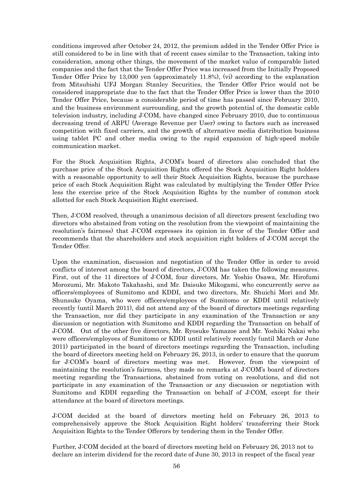conditions improved after October 24, 2012, the premium added in the Tender Offer Price is still considered to be in line with that of recent cases similar to the Transaction, taking into consideration, among other things, the movement of the market value of comparable listed companies and the fact that the Tender Offer Price was increased from the Initially Proposed Tender Offer Price by 13,000 yen (approximately 11.8%), (vi) according to the explanation from Mitsubishi UFJ Morgan Stanley Securities, the Tender Offer Price would not be considered inappropriate due to the fact that the Tender Offer Price is lower than the 2010 Tender Offer Price, because a considerable period of time has passed since February 2010, and the business environment surrounding, and the growth potential of, the domestic cable television industry, including J:COM, have changed since February 2010, due to continuous decreasing trend of ARPU (Average Revenue per User) owing to factors such as increased competition with fixed carriers, and the growth of alternative media distribution business using tablet PC and other media owing to the rapid expansion of high-speed mobile communication market.

For the Stock Acquisition Rights, J:COM's board of directors also concluded that the purchase price of the Stock Acquisition Rights offered the Stock Acquisition Right holders with a reasonable opportunity to sell their Stock Acquisition Rights, because the purchase price of each Stock Acquisition Right was calculated by multiplying the Tender Offer Price less the exercise price of the Stock Acquisition Rights by the number of common stock allotted for each Stock Acquisition Right exercised.

Then, J:COM resolved, through a unanimous decision of all directors present (excluding two directors who abstained from voting on the resolution from the viewpoint of maintaining the resolution's fairness) that J:COM expresses its opinion in favor of the Tender Offer and recommends that the shareholders and stock acquisition right holders of J:COM accept the Tender Offer.

Upon the examination, discussion and negotiation of the Tender Offer in order to avoid conflicts of interest among the board of directors, J:COM has taken the following measures. First, out of the 11 directors of J:COM, four directors, Mr. Yoshio Osawa, Mr. Hirofumi Morozumi, Mr. Makoto Takahashi, and Mr. Daisuke Mikogami, who concurrently serve as officers/employees of Sumitomo and KDDI, and two directors, Mr. Shuichi Mori and Mr. Shunsuke Oyama, who were officers/employees of Sumitomo or KDDI until relatively recently (until March 2011), did not attend any of the board of directors meetings regarding the Transaction, nor did they participate in any examination of the Transaction or any discussion or negotiation with Sumitomo and KDDI regarding the Transaction on behalf of J:COM. Out of the other five directors, Mr. Ryosuke Yamazoe and Mr. Yoshiki Nakai who were officers/employees of Sumitomo or KDDI until relatively recently (until March or June 2011) participated in the board of directors meetings regarding the Transaction, including the board of directors meeting held on February 26, 2013, in order to ensure that the quorum for J:COM's board of directors meeting was met. However, from the viewpoint of maintaining the resolution's fairness, they made no remarks at J:COM's board of directors meeting regarding the Transactions, abstained from voting on resolutions, and did not participate in any examination of the Transaction or any discussion or negotiation with Sumitomo and KDDI regarding the Transaction on behalf of J:COM, except for their attendance at the board of directors meetings.

J:COM decided at the board of directors meeting held on February 26, 2013 to comprehensively approve the Stock Acquisition Right holders' transferring their Stock Acquisition Rights to the Tender Offerors by tendering them in the Tender Offer.

Further, J:COM decided at the board of directors meeting held on February 26, 2013 not to declare an interim dividend for the record date of June 30, 2013 in respect of the fiscal year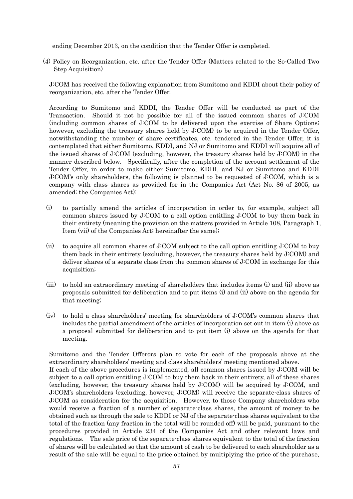ending December 2013, on the condition that the Tender Offer is completed.

(4) Policy on Reorganization, etc. after the Tender Offer (Matters related to the So-Called Two Step Acquisition)

J:COM has received the following explanation from Sumitomo and KDDI about their policy of reorganization, etc. after the Tender Offer.

According to Sumitomo and KDDI, the Tender Offer will be conducted as part of the Transaction. Should it not be possible for all of the issued common shares of J:COM (including common shares of J:COM to be delivered upon the exercise of Share Options; however, excluding the treasury shares held by J:COM) to be acquired in the Tender Offer, notwithstanding the number of share certificates, etc. tendered in the Tender Offer, it is contemplated that either Sumitomo, KDDI, and NJ or Sumitomo and KDDI will acquire all of the issued shares of J:COM (excluding, however, the treasury shares held by J:COM) in the manner described below. Specifically, after the completion of the account settlement of the Tender Offer, in order to make either Sumitomo, KDDI, and NJ or Sumitomo and KDDI J:COM's only shareholders, the following is planned to be requested of J:COM, which is a company with class shares as provided for in the Companies Act (Act No. 86 of 2005, as amended; the Companies Act):

- (i) to partially amend the articles of incorporation in order to, for example, subject all common shares issued by J:COM to a call option entitling J:COM to buy them back in their entirety (meaning the provision on the matters provided in Article 108, Paragraph 1, Item (vii) of the Companies Act; hereinafter the same);
- (ii) to acquire all common shares of J:COM subject to the call option entitling J:COM to buy them back in their entirety (excluding, however, the treasury shares held by J:COM) and deliver shares of a separate class from the common shares of J:COM in exchange for this acquisition;
- (iii) to hold an extraordinary meeting of shareholders that includes items (i) and (ii) above as proposals submitted for deliberation and to put items (i) and (ii) above on the agenda for that meeting;
- (iv) to hold a class shareholders' meeting for shareholders of J:COM's common shares that includes the partial amendment of the articles of incorporation set out in item (i) above as a proposal submitted for deliberation and to put item (i) above on the agenda for that meeting.

Sumitomo and the Tender Offerors plan to vote for each of the proposals above at the extraordinary shareholders' meeting and class shareholders' meeting mentioned above. If each of the above procedures is implemented, all common shares issued by J:COM will be subject to a call option entitling J:COM to buy them back in their entirety, all of these shares (excluding, however, the treasury shares held by J:COM) will be acquired by J:COM, and J:COM's shareholders (excluding, however, J:COM) will receive the separate-class shares of J:COM as consideration for the acquisition. However, to those Company shareholders who would receive a fraction of a number of separate-class shares, the amount of money to be obtained such as through the sale to KDDI or NJ of the separate-class shares equivalent to the total of the fraction (any fraction in the total will be rounded off) will be paid, pursuant to the procedures provided in Article 234 of the Companies Act and other relevant laws and regulations. The sale price of the separate-class shares equivalent to the total of the fraction of shares will be calculated so that the amount of cash to be delivered to each shareholder as a result of the sale will be equal to the price obtained by multiplying the price of the purchase,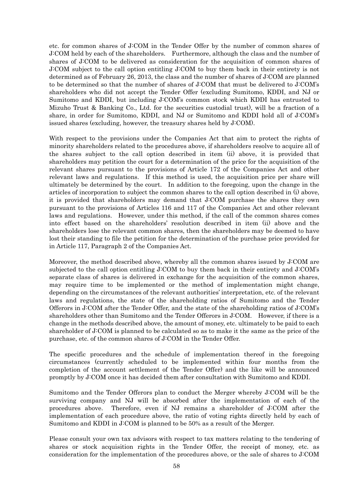etc. for common shares of J:COM in the Tender Offer by the number of common shares of J:COM held by each of the shareholders. Furthermore, although the class and the number of shares of J:COM to be delivered as consideration for the acquisition of common shares of J:COM subject to the call option entitling J:COM to buy them back in their entirety is not determined as of February 26, 2013, the class and the number of shares of J:COM are planned to be determined so that the number of shares of J:COM that must be delivered to J:COM's shareholders who did not accept the Tender Offer (excluding Sumitomo, KDDI, and NJ or Sumitomo and KDDI, but including J:COM's common stock which KDDI has entrusted to Mizuho Trust & Banking Co., Ltd. for the securities custodial trust), will be a fraction of a share, in order for Sumitomo, KDDI, and NJ or Sumitomo and KDDI hold all of J:COM's issued shares (excluding, however, the treasury shares held by J:COM).

With respect to the provisions under the Companies Act that aim to protect the rights of minority shareholders related to the procedures above, if shareholders resolve to acquire all of the shares subject to the call option described in item (ii) above, it is provided that shareholders may petition the court for a determination of the price for the acquisition of the relevant shares pursuant to the provisions of Article 172 of the Companies Act and other relevant laws and regulations. If this method is used, the acquisition price per share will ultimately be determined by the court. In addition to the foregoing, upon the change in the articles of incorporation to subject the common shares to the call option described in (i) above, it is provided that shareholders may demand that J:COM purchase the shares they own pursuant to the provisions of Articles 116 and 117 of the Companies Act and other relevant laws and regulations. However, under this method, if the call of the common shares comes into effect based on the shareholders' resolution described in item (ii) above and the shareholders lose the relevant common shares, then the shareholders may be deemed to have lost their standing to file the petition for the determination of the purchase price provided for in Article 117, Paragraph 2 of the Companies Act.

Moreover, the method described above, whereby all the common shares issued by J:COM are subjected to the call option entitling J:COM to buy them back in their entirety and J:COM's separate class of shares is delivered in exchange for the acquisition of the common shares, may require time to be implemented or the method of implementation might change, depending on the circumstances of the relevant authorities' interpretation, etc. of the relevant laws and regulations, the state of the shareholding ratios of Sumitomo and the Tender Offerors in J:COM after the Tender Offer, and the state of the shareholding ratios of J:COM's shareholders other than Sumitomo and the Tender Offerors in J:COM. However, if there is a change in the methods described above, the amount of money, etc. ultimately to be paid to each shareholder of J:COM is planned to be calculated so as to make it the same as the price of the purchase, etc. of the common shares of J:COM in the Tender Offer.

The specific procedures and the schedule of implementation thereof in the foregoing circumstances (currently scheduled to be implemented within four months from the completion of the account settlement of the Tender Offer) and the like will be announced promptly by J:COM once it has decided them after consultation with Sumitomo and KDDI.

Sumitomo and the Tender Offerors plan to conduct the Merger whereby J:COM will be the surviving company and NJ will be absorbed after the implementation of each of the procedures above. Therefore, even if NJ remains a shareholder of J:COM after the implementation of each procedure above, the ratio of voting rights directly held by each of Sumitomo and KDDI in J:COM is planned to be 50% as a result of the Merger.

Please consult your own tax advisors with respect to tax matters relating to the tendering of shares or stock acquisition rights in the Tender Offer, the receipt of money, etc. as consideration for the implementation of the procedures above, or the sale of shares to J:COM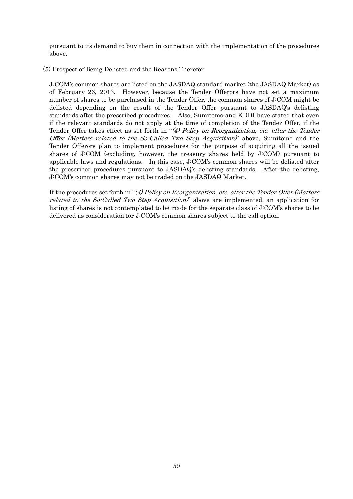pursuant to its demand to buy them in connection with the implementation of the procedures above.

(5) Prospect of Being Delisted and the Reasons Therefor

J:COM's common shares are listed on the JASDAQ standard market (the JASDAQ Market) as of February 26, 2013. However, because the Tender Offerors have not set a maximum number of shares to be purchased in the Tender Offer, the common shares of J:COM might be delisted depending on the result of the Tender Offer pursuant to JASDAQ's delisting standards after the prescribed procedures. Also, Sumitomo and KDDI have stated that even if the relevant standards do not apply at the time of completion of the Tender Offer, if the Tender Offer takes effect as set forth in "(4) Policy on Reorganization, etc. after the Tender Offer (Matters related to the So-Called Two Step Acquisition)" above, Sumitomo and the Tender Offerors plan to implement procedures for the purpose of acquiring all the issued shares of J:COM (excluding, however, the treasury shares held by J:COM) pursuant to applicable laws and regulations. In this case, J:COM's common shares will be delisted after the prescribed procedures pursuant to JASDAQ's delisting standards. After the delisting, J:COM's common shares may not be traded on the JASDAQ Market.

If the procedures set forth in "(4) Policy on Reorganization, etc. after the Tender Offer (Matters related to the So-Called Two Step Acquisition)" above are implemented, an application for listing of shares is not contemplated to be made for the separate class of J:COM's shares to be delivered as consideration for J:COM's common shares subject to the call option.